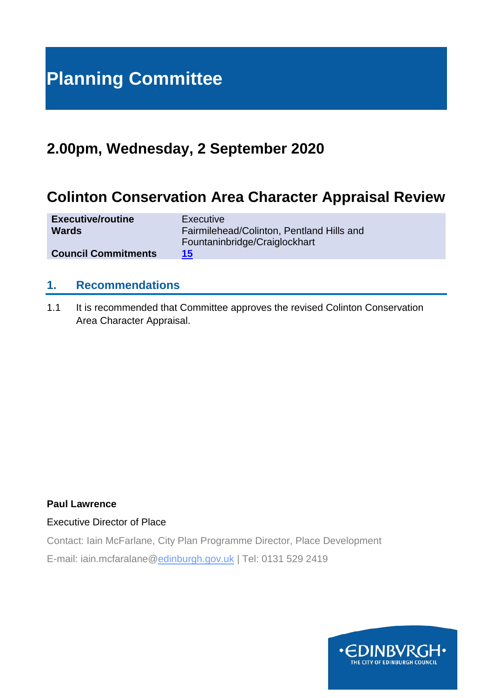# **Planning Committee**

# **2.00pm, Wednesday, 2 September 2020**

# **Colinton Conservation Area Character Appraisal Review**

| <b>Executive/routine</b>   | <b>Executive</b>                          |
|----------------------------|-------------------------------------------|
| <b>Wards</b>               | Fairmilehead/Colinton, Pentland Hills and |
|                            | Fountaninbridge/Craiglockhart             |
| <b>Council Commitments</b> | 15 <sup>°</sup>                           |

# **1. Recommendations**

1.1 It is recommended that Committee approves the revised Colinton Conservation Area Character Appraisal.

# **Paul Lawrence**

Executive Director of Place

Contact: Iain McFarlane, City Plan Programme Director, Place Development

E-mail: iain.mcfaralane@edinburgh.gov.uk | Tel: 0131 529 2419

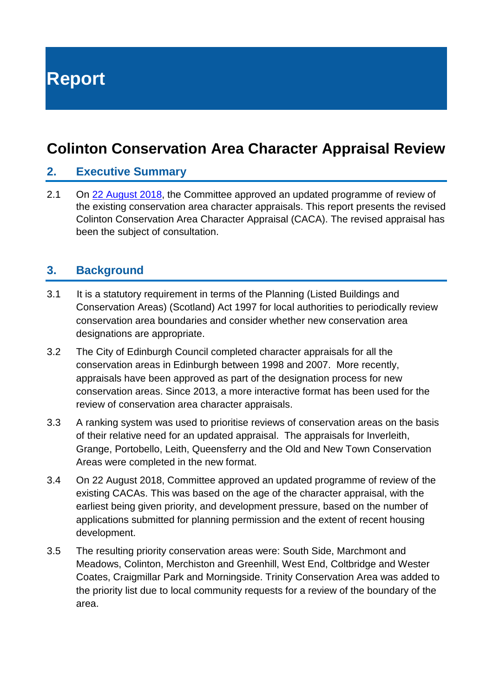**Report**

# **Colinton Conservation Area Character Appraisal Review**

# **2. Executive Summary**

2.1 On [22 August 2018,](https://democracy.edinburgh.gov.uk/Data/Planning%20Committee/20180822/Agenda/item_101_-_review_of_conservation_area_character_appraisals.pdf) the Committee approved an updated programme of review of the existing conservation area character appraisals. This report presents the revised Colinton Conservation Area Character Appraisal (CACA). The revised appraisal has been the subject of consultation.

# **3. Background**

- 3.1 It is a statutory requirement in terms of the Planning (Listed Buildings and Conservation Areas) (Scotland) Act 1997 for local authorities to periodically review conservation area boundaries and consider whether new conservation area designations are appropriate.
- 3.2 The City of Edinburgh Council completed character appraisals for all the conservation areas in Edinburgh between 1998 and 2007. More recently, appraisals have been approved as part of the designation process for new conservation areas. Since 2013, a more interactive format has been used for the review of conservation area character appraisals.
- 3.3 A ranking system was used to prioritise reviews of conservation areas on the basis of their relative need for an updated appraisal. The appraisals for Inverleith, Grange, Portobello, Leith, Queensferry and the Old and New Town Conservation Areas were completed in the new format.
- 3.4 On 22 August 2018, Committee approved an updated programme of review of the existing CACAs. This was based on the age of the character appraisal, with the earliest being given priority, and development pressure, based on the number of applications submitted for planning permission and the extent of recent housing development.
- 3.5 The resulting priority conservation areas were: South Side, Marchmont and Meadows, Colinton, Merchiston and Greenhill, West End, Coltbridge and Wester Coates, Craigmillar Park and Morningside. Trinity Conservation Area was added to the priority list due to local community requests for a review of the boundary of the area.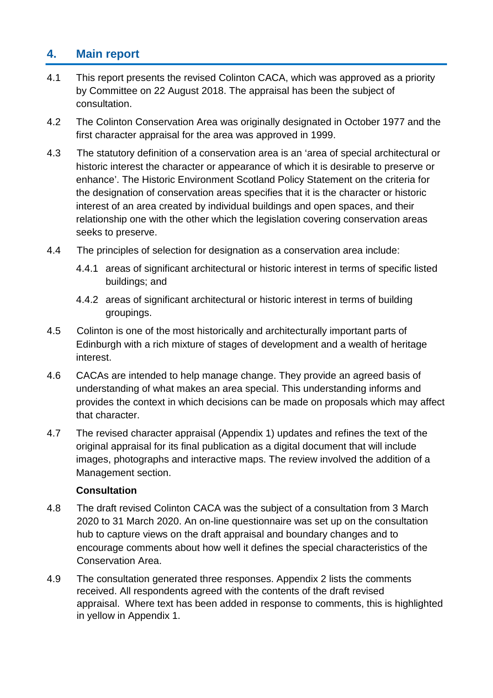# **4. Main report**

- 4.1 This report presents the revised Colinton CACA, which was approved as a priority by Committee on 22 August 2018. The appraisal has been the subject of consultation.
- 4.2 The Colinton Conservation Area was originally designated in October 1977 and the first character appraisal for the area was approved in 1999.
- 4.3 The statutory definition of a conservation area is an 'area of special architectural or historic interest the character or appearance of which it is desirable to preserve or enhance'. The Historic Environment Scotland Policy Statement on the criteria for the designation of conservation areas specifies that it is the character or historic interest of an area created by individual buildings and open spaces, and their relationship one with the other which the legislation covering conservation areas seeks to preserve.
- 4.4 The principles of selection for designation as a conservation area include:
	- 4.4.1 areas of significant architectural or historic interest in terms of specific listed buildings; and
	- 4.4.2 areas of significant architectural or historic interest in terms of building groupings.
- 4.5 Colinton is one of the most historically and architecturally important parts of Edinburgh with a rich mixture of stages of development and a wealth of heritage interest.
- 4.6 CACAs are intended to help manage change. They provide an agreed basis of understanding of what makes an area special. This understanding informs and provides the context in which decisions can be made on proposals which may affect that character.
- 4.7 The revised character appraisal (Appendix 1) updates and refines the text of the original appraisal for its final publication as a digital document that will include images, photographs and interactive maps. The review involved the addition of a Management section.

# **Consultation**

- 4.8 The draft revised Colinton CACA was the subject of a consultation from 3 March 2020 to 31 March 2020. An on-line questionnaire was set up on the consultation hub to capture views on the draft appraisal and boundary changes and to encourage comments about how well it defines the special characteristics of the Conservation Area.
- 4.9 The consultation generated three responses. Appendix 2 lists the comments received. All respondents agreed with the contents of the draft revised appraisal. Where text has been added in response to comments, this is highlighted in yellow in Appendix 1.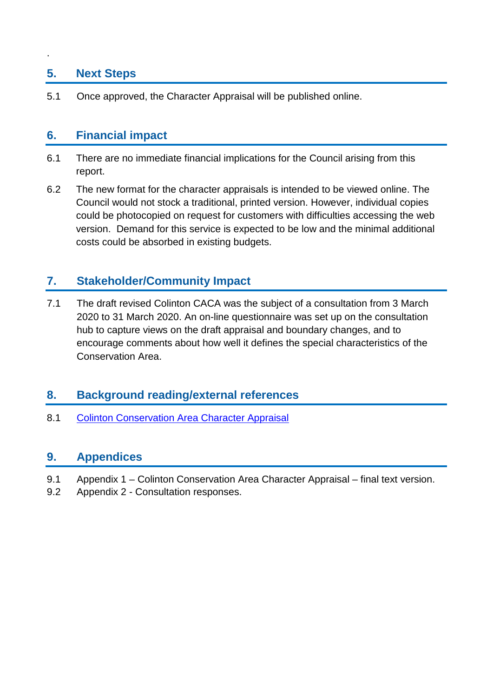# **5. Next Steps**

.

5.1 Once approved, the Character Appraisal will be published online.

# **6. Financial impact**

- 6.1 There are no immediate financial implications for the Council arising from this report.
- 6.2 The new format for the character appraisals is intended to be viewed online. The Council would not stock a traditional, printed version. However, individual copies could be photocopied on request for customers with difficulties accessing the web version. Demand for this service is expected to be low and the minimal additional costs could be absorbed in existing budgets.

# **7. Stakeholder/Community Impact**

7.1 The draft revised Colinton CACA was the subject of a consultation from 3 March 2020 to 31 March 2020. An on-line questionnaire was set up on the consultation hub to capture views on the draft appraisal and boundary changes, and to encourage comments about how well it defines the special characteristics of the Conservation Area.

# **8. Background reading/external references**

8.1 [Colinton Conservation Area Character Appraisal](https://www.edinburgh.gov.uk/directory/search?directoryID=10219&showInMap=&keywords=colinton&search=Search)

# **9. Appendices**

- 9.1 Appendix 1 Colinton Conservation Area Character Appraisal final text version.
- 9.2 Appendix 2 Consultation responses.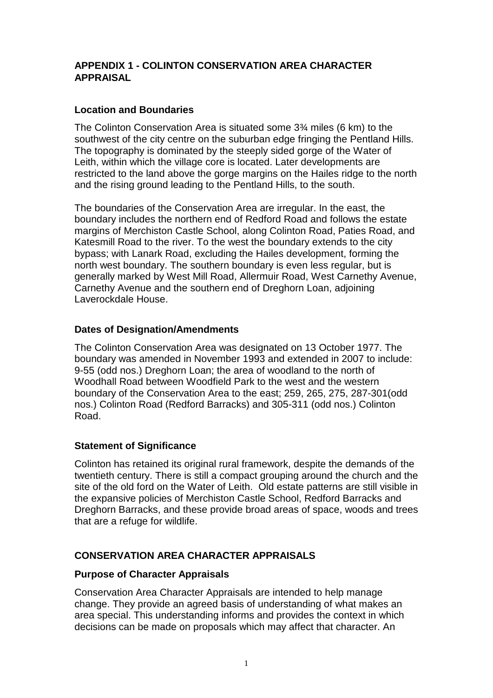# **APPENDIX 1 - COLINTON CONSERVATION AREA CHARACTER APPRAISAL**

# **Location and Boundaries**

The Colinton Conservation Area is situated some 3¾ miles (6 km) to the southwest of the city centre on the suburban edge fringing the Pentland Hills. The topography is dominated by the steeply sided gorge of the Water of Leith, within which the village core is located. Later developments are restricted to the land above the gorge margins on the Hailes ridge to the north and the rising ground leading to the Pentland Hills, to the south.

The boundaries of the Conservation Area are irregular. In the east, the boundary includes the northern end of Redford Road and follows the estate margins of Merchiston Castle School, along Colinton Road, Paties Road, and Katesmill Road to the river. To the west the boundary extends to the city bypass; with Lanark Road, excluding the Hailes development, forming the north west boundary. The southern boundary is even less regular, but is generally marked by West Mill Road, Allermuir Road, West Carnethy Avenue, Carnethy Avenue and the southern end of Dreghorn Loan, adjoining Laverockdale House.

#### **Dates of Designation/Amendments**

The Colinton Conservation Area was designated on 13 October 1977. The boundary was amended in November 1993 and extended in 2007 to include: 9-55 (odd nos.) Dreghorn Loan; the area of woodland to the north of Woodhall Road between Woodfield Park to the west and the western boundary of the Conservation Area to the east; 259, 265, 275, 287-301(odd nos.) Colinton Road (Redford Barracks) and 305-311 (odd nos.) Colinton Road.

#### **Statement of Significance**

Colinton has retained its original rural framework, despite the demands of the twentieth century. There is still a compact grouping around the church and the site of the old ford on the Water of Leith. Old estate patterns are still visible in the expansive policies of Merchiston Castle School, Redford Barracks and Dreghorn Barracks, and these provide broad areas of space, woods and trees that are a refuge for wildlife.

# **CONSERVATION AREA CHARACTER APPRAISALS**

#### **Purpose of Character Appraisals**

Conservation Area Character Appraisals are intended to help manage change. They provide an agreed basis of understanding of what makes an area special. This understanding informs and provides the context in which decisions can be made on proposals which may affect that character. An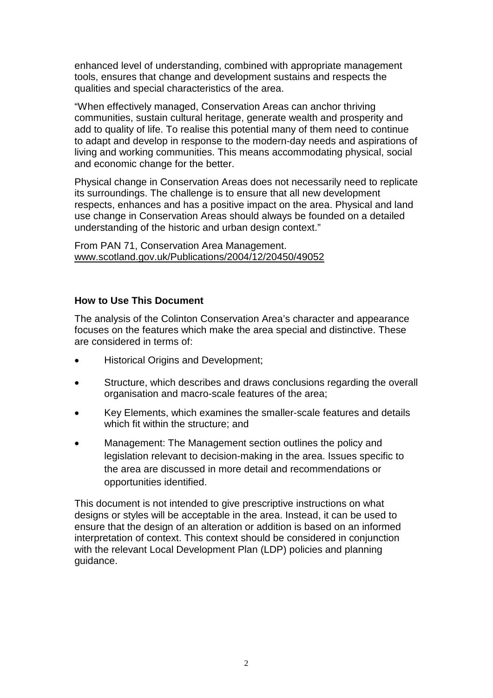enhanced level of understanding, combined with appropriate management tools, ensures that change and development sustains and respects the qualities and special characteristics of the area.

"When effectively managed, Conservation Areas can anchor thriving communities, sustain cultural heritage, generate wealth and prosperity and add to quality of life. To realise this potential many of them need to continue to adapt and develop in response to the modern-day needs and aspirations of living and working communities. This means accommodating physical, social and economic change for the better.

Physical change in Conservation Areas does not necessarily need to replicate its surroundings. The challenge is to ensure that all new development respects, enhances and has a positive impact on the area. Physical and land use change in Conservation Areas should always be founded on a detailed understanding of the historic and urban design context."

From PAN 71, Conservation Area Management. www.scotland.gov.uk/Publications/2004/12/20450/49052

# **How to Use This Document**

The analysis of the Colinton Conservation Area's character and appearance focuses on the features which make the area special and distinctive. These are considered in terms of:

- Historical Origins and Development:
- Structure, which describes and draws conclusions regarding the overall organisation and macro-scale features of the area;
- Key Elements, which examines the smaller-scale features and details which fit within the structure; and
- Management: The Management section outlines the policy and legislation relevant to decision-making in the area. Issues specific to the area are discussed in more detail and recommendations or opportunities identified.

This document is not intended to give prescriptive instructions on what designs or styles will be acceptable in the area. Instead, it can be used to ensure that the design of an alteration or addition is based on an informed interpretation of context. This context should be considered in conjunction with the relevant Local Development Plan (LDP) policies and planning guidance.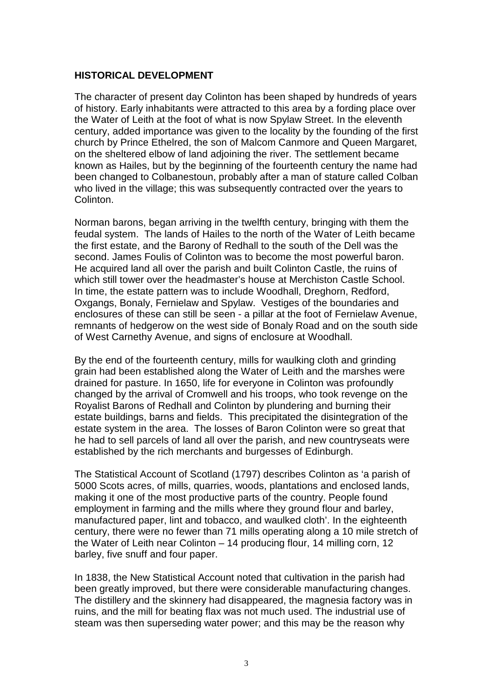#### **HISTORICAL DEVELOPMENT**

The character of present day Colinton has been shaped by hundreds of years of history. Early inhabitants were attracted to this area by a fording place over the Water of Leith at the foot of what is now Spylaw Street. In the eleventh century, added importance was given to the locality by the founding of the first church by Prince Ethelred, the son of Malcom Canmore and Queen Margaret, on the sheltered elbow of land adjoining the river. The settlement became known as Hailes, but by the beginning of the fourteenth century the name had been changed to Colbanestoun, probably after a man of stature called Colban who lived in the village; this was subsequently contracted over the years to Colinton.

Norman barons, began arriving in the twelfth century, bringing with them the feudal system. The lands of Hailes to the north of the Water of Leith became the first estate, and the Barony of Redhall to the south of the Dell was the second. James Foulis of Colinton was to become the most powerful baron. He acquired land all over the parish and built Colinton Castle, the ruins of which still tower over the headmaster's house at Merchiston Castle School. In time, the estate pattern was to include Woodhall, Dreghorn, Redford, Oxgangs, Bonaly, Fernielaw and Spylaw. Vestiges of the boundaries and enclosures of these can still be seen - a pillar at the foot of Fernielaw Avenue, remnants of hedgerow on the west side of Bonaly Road and on the south side of West Carnethy Avenue, and signs of enclosure at Woodhall.

By the end of the fourteenth century, mills for waulking cloth and grinding grain had been established along the Water of Leith and the marshes were drained for pasture. In 1650, life for everyone in Colinton was profoundly changed by the arrival of Cromwell and his troops, who took revenge on the Royalist Barons of Redhall and Colinton by plundering and burning their estate buildings, barns and fields. This precipitated the disintegration of the estate system in the area. The losses of Baron Colinton were so great that he had to sell parcels of land all over the parish, and new countryseats were established by the rich merchants and burgesses of Edinburgh.

The Statistical Account of Scotland (1797) describes Colinton as 'a parish of 5000 Scots acres, of mills, quarries, woods, plantations and enclosed lands, making it one of the most productive parts of the country. People found employment in farming and the mills where they ground flour and barley, manufactured paper, lint and tobacco, and waulked cloth'. In the eighteenth century, there were no fewer than 71 mills operating along a 10 mile stretch of the Water of Leith near Colinton – 14 producing flour, 14 milling corn, 12 barley, five snuff and four paper.

In 1838, the New Statistical Account noted that cultivation in the parish had been greatly improved, but there were considerable manufacturing changes. The distillery and the skinnery had disappeared, the magnesia factory was in ruins, and the mill for beating flax was not much used. The industrial use of steam was then superseding water power; and this may be the reason why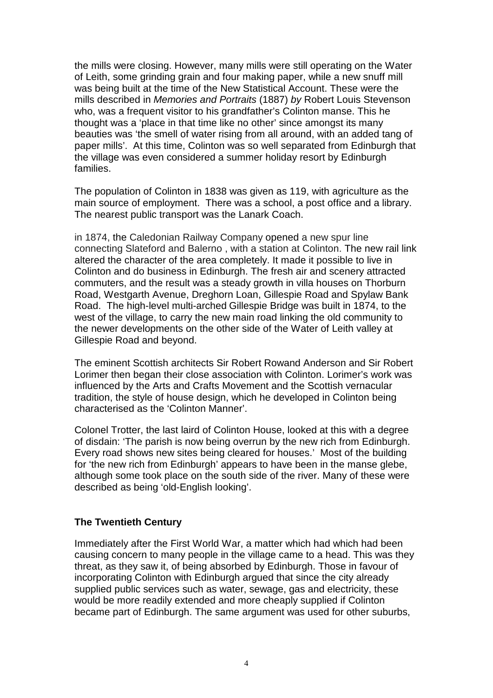the mills were closing. However, many mills were still operating on the Water of Leith, some grinding grain and four making paper, while a new snuff mill was being built at the time of the New Statistical Account. These were the mills described in *Memories and Portraits* (1887) *by* Robert Louis Stevenson who, was a frequent visitor to his grandfather's Colinton manse. This he thought was a 'place in that time like no other' since amongst its many beauties was 'the smell of water rising from all around, with an added tang of paper mills'. At this time, Colinton was so well separated from Edinburgh that the village was even considered a summer holiday resort by Edinburgh families.

The population of Colinton in 1838 was given as 119, with agriculture as the main source of employment. There was a school, a post office and a library. The nearest public transport was the Lanark Coach.

in 1874, the Caledonian Railway Company opened a new spur line connecting Slateford and Balerno , with a station at Colinton. The new rail link altered the character of the area completely. It made it possible to live in Colinton and do business in Edinburgh. The fresh air and scenery attracted commuters, and the result was a steady growth in villa houses on Thorburn Road, Westgarth Avenue, Dreghorn Loan, Gillespie Road and Spylaw Bank Road. The high-level multi-arched Gillespie Bridge was built in 1874, to the west of the village, to carry the new main road linking the old community to the newer developments on the other side of the Water of Leith valley at Gillespie Road and beyond.

The eminent Scottish architects Sir Robert Rowand Anderson and Sir Robert Lorimer then began their close association with Colinton. Lorimer's work was influenced by the Arts and Crafts Movement and the Scottish vernacular tradition, the style of house design, which he developed in Colinton being characterised as the 'Colinton Manner'.

Colonel Trotter, the last laird of Colinton House, looked at this with a degree of disdain: 'The parish is now being overrun by the new rich from Edinburgh. Every road shows new sites being cleared for houses.' Most of the building for 'the new rich from Edinburgh' appears to have been in the manse glebe, although some took place on the south side of the river. Many of these were described as being 'old-English looking'.

#### **The Twentieth Century**

Immediately after the First World War, a matter which had which had been causing concern to many people in the village came to a head. This was they threat, as they saw it, of being absorbed by Edinburgh. Those in favour of incorporating Colinton with Edinburgh argued that since the city already supplied public services such as water, sewage, gas and electricity, these would be more readily extended and more cheaply supplied if Colinton became part of Edinburgh. The same argument was used for other suburbs,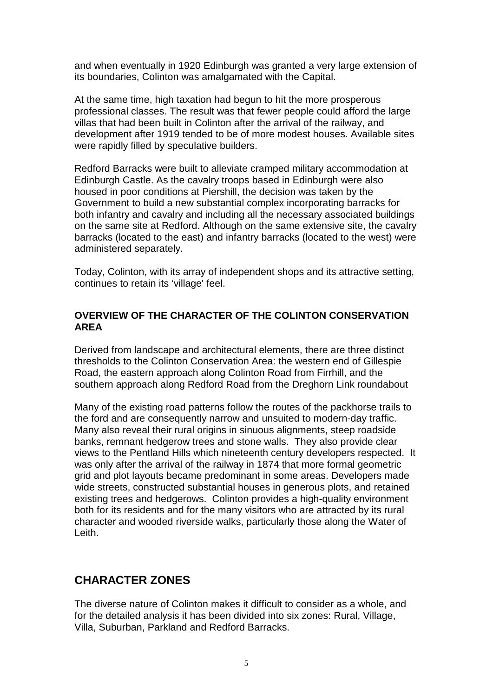and when eventually in 1920 Edinburgh was granted a very large extension of its boundaries, Colinton was amalgamated with the Capital.

At the same time, high taxation had begun to hit the more prosperous professional classes. The result was that fewer people could afford the large villas that had been built in Colinton after the arrival of the railway, and development after 1919 tended to be of more modest houses. Available sites were rapidly filled by speculative builders.

Redford Barracks were built to alleviate cramped military accommodation at Edinburgh Castle. As the cavalry troops based in Edinburgh were also housed in poor conditions at Piershill, the decision was taken by the Government to build a new substantial complex incorporating barracks for both infantry and cavalry and including all the necessary associated buildings on the same site at Redford. Although on the same extensive site, the cavalry barracks (located to the east) and infantry barracks (located to the west) were administered separately.

Today, Colinton, with its array of independent shops and its attractive setting, continues to retain its 'village' feel.

# **OVERVIEW OF THE CHARACTER OF THE COLINTON CONSERVATION AREA**

Derived from landscape and architectural elements, there are three distinct thresholds to the Colinton Conservation Area: the western end of Gillespie Road, the eastern approach along Colinton Road from Firrhill, and the southern approach along Redford Road from the Dreghorn Link roundabout

Many of the existing road patterns follow the routes of the packhorse trails to the ford and are consequently narrow and unsuited to modern-day traffic. Many also reveal their rural origins in sinuous alignments, steep roadside banks, remnant hedgerow trees and stone walls. They also provide clear views to the Pentland Hills which nineteenth century developers respected. It was only after the arrival of the railway in 1874 that more formal geometric grid and plot layouts became predominant in some areas. Developers made wide streets, constructed substantial houses in generous plots, and retained existing trees and hedgerows. Colinton provides a high-quality environment both for its residents and for the many visitors who are attracted by its rural character and wooded riverside walks, particularly those along the Water of Leith.

# **CHARACTER ZONES**

The diverse nature of Colinton makes it difficult to consider as a whole, and for the detailed analysis it has been divided into six zones: Rural, Village, Villa, Suburban, Parkland and Redford Barracks.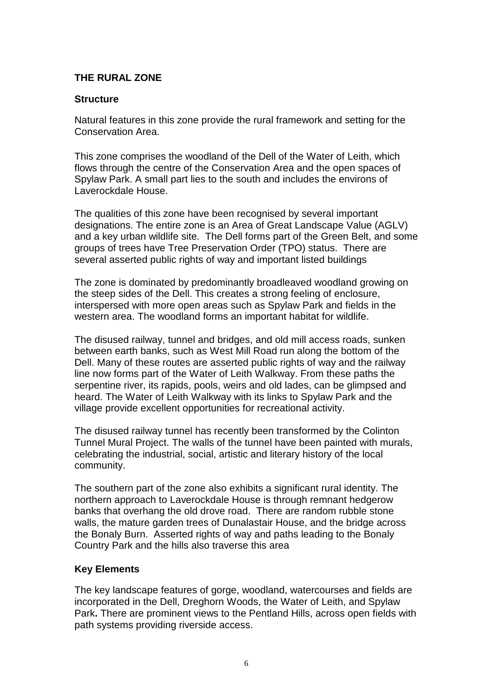# **THE RURAL ZONE**

#### **Structure**

Natural features in this zone provide the rural framework and setting for the Conservation Area.

This zone comprises the woodland of the Dell of the Water of Leith, which flows through the centre of the Conservation Area and the open spaces of Spylaw Park. A small part lies to the south and includes the environs of Laverockdale House.

The qualities of this zone have been recognised by several important designations. The entire zone is an Area of Great Landscape Value (AGLV) and a key urban wildlife site. The Dell forms part of the Green Belt, and some groups of trees have Tree Preservation Order (TPO) status. There are several asserted public rights of way and important listed buildings

The zone is dominated by predominantly broadleaved woodland growing on the steep sides of the Dell. This creates a strong feeling of enclosure, interspersed with more open areas such as Spylaw Park and fields in the western area. The woodland forms an important habitat for wildlife.

The disused railway, tunnel and bridges, and old mill access roads, sunken between earth banks, such as West Mill Road run along the bottom of the Dell. Many of these routes are asserted public rights of way and the railway line now forms part of the Water of Leith Walkway. From these paths the serpentine river, its rapids, pools, weirs and old lades, can be glimpsed and heard. The Water of Leith Walkway with its links to Spylaw Park and the village provide excellent opportunities for recreational activity.

The disused railway tunnel has recently been transformed by the Colinton Tunnel Mural Project. The walls of the tunnel have been painted with murals, celebrating the industrial, social, artistic and literary history of the local community.

The southern part of the zone also exhibits a significant rural identity. The northern approach to Laverockdale House is through remnant hedgerow banks that overhang the old drove road. There are random rubble stone walls, the mature garden trees of Dunalastair House, and the bridge across the Bonaly Burn. Asserted rights of way and paths leading to the Bonaly Country Park and the hills also traverse this area

#### **Key Elements**

The key landscape features of gorge, woodland, watercourses and fields are incorporated in the Dell, Dreghorn Woods, the Water of Leith, and Spylaw Park**.** There are prominent views to the Pentland Hills, across open fields with path systems providing riverside access.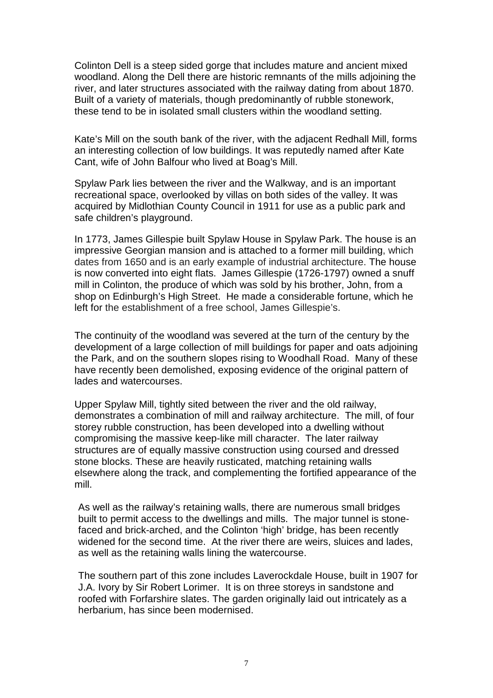Colinton Dell is a steep sided gorge that includes mature and ancient mixed woodland. Along the Dell there are historic remnants of the mills adjoining the river, and later structures associated with the railway dating from about 1870. Built of a variety of materials, though predominantly of rubble stonework, these tend to be in isolated small clusters within the woodland setting.

Kate's Mill on the south bank of the river, with the adjacent Redhall Mill, forms an interesting collection of low buildings. It was reputedly named after Kate Cant, wife of John Balfour who lived at Boag's Mill.

Spylaw Park lies between the river and the Walkway, and is an important recreational space, overlooked by villas on both sides of the valley. It was acquired by Midlothian County Council in 1911 for use as a public park and safe children's playground.

In 1773, James Gillespie built Spylaw House in Spylaw Park. The house is an impressive Georgian mansion and is attached to a former mill building, which dates from 1650 and is an early example of industrial architecture. The house is now converted into eight flats. James Gillespie (1726-1797) owned a snuff mill in Colinton, the produce of which was sold by his brother, John, from a shop on Edinburgh's High Street. He made a considerable fortune, which he left for the establishment of a free school, James Gillespie's.

The continuity of the woodland was severed at the turn of the century by the development of a large collection of mill buildings for paper and oats adjoining the Park, and on the southern slopes rising to Woodhall Road. Many of these have recently been demolished, exposing evidence of the original pattern of lades and watercourses.

Upper Spylaw Mill, tightly sited between the river and the old railway, demonstrates a combination of mill and railway architecture. The mill, of four storey rubble construction, has been developed into a dwelling without compromising the massive keep-like mill character. The later railway structures are of equally massive construction using coursed and dressed stone blocks. These are heavily rusticated, matching retaining walls elsewhere along the track, and complementing the fortified appearance of the mill.

As well as the railway's retaining walls, there are numerous small bridges built to permit access to the dwellings and mills. The major tunnel is stonefaced and brick-arched, and the Colinton 'high' bridge, has been recently widened for the second time. At the river there are weirs, sluices and lades, as well as the retaining walls lining the watercourse.

The southern part of this zone includes Laverockdale House, built in 1907 for J.A. Ivory by Sir Robert Lorimer. It is on three storeys in sandstone and roofed with Forfarshire slates. The garden originally laid out intricately as a herbarium, has since been modernised.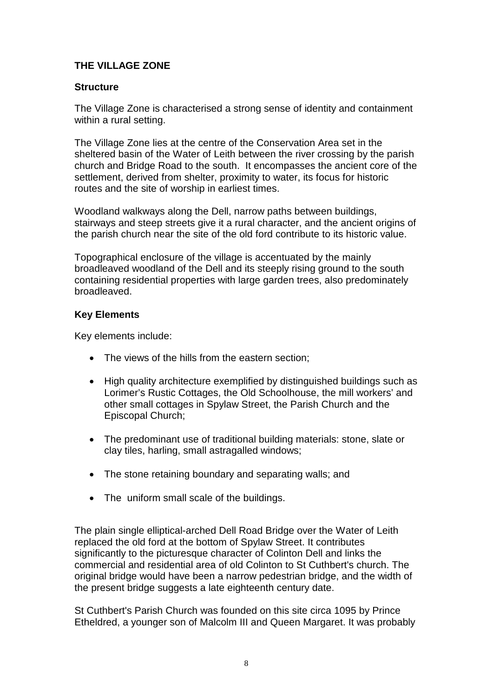# **THE VILLAGE ZONE**

#### **Structure**

The Village Zone is characterised a strong sense of identity and containment within a rural setting.

The Village Zone lies at the centre of the Conservation Area set in the sheltered basin of the Water of Leith between the river crossing by the parish church and Bridge Road to the south. It encompasses the ancient core of the settlement, derived from shelter, proximity to water, its focus for historic routes and the site of worship in earliest times.

Woodland walkways along the Dell, narrow paths between buildings, stairways and steep streets give it a rural character, and the ancient origins of the parish church near the site of the old ford contribute to its historic value.

Topographical enclosure of the village is accentuated by the mainly broadleaved woodland of the Dell and its steeply rising ground to the south containing residential properties with large garden trees, also predominately broadleaved.

# **Key Elements**

Key elements include:

- The views of the hills from the eastern section;
- High quality architecture exemplified by distinguished buildings such as Lorimer's Rustic Cottages, the Old Schoolhouse, the mill workers' and other small cottages in Spylaw Street, the Parish Church and the Episcopal Church;
- The predominant use of traditional building materials: stone, slate or clay tiles, harling, small astragalled windows;
- The stone retaining boundary and separating walls; and
- The uniform small scale of the buildings.

The plain single elliptical-arched Dell Road Bridge over the Water of Leith replaced the old ford at the bottom of Spylaw Street. It contributes significantly to the picturesque character of Colinton Dell and links the commercial and residential area of old Colinton to St Cuthbert's church. The original bridge would have been a narrow pedestrian bridge, and the width of the present bridge suggests a late eighteenth century date.

St Cuthbert's Parish Church was founded on this site circa 1095 by Prince Etheldred, a younger son of Malcolm III and Queen Margaret. It was probably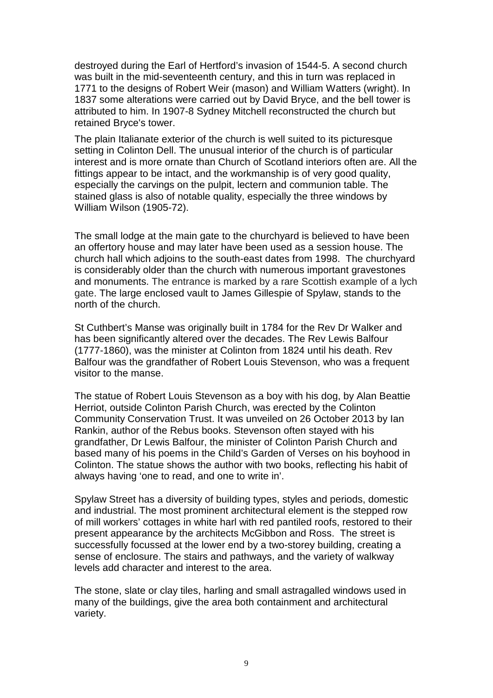destroyed during the Earl of Hertford's invasion of 1544-5. A second church was built in the mid-seventeenth century, and this in turn was replaced in 1771 to the designs of Robert Weir (mason) and William Watters (wright). In 1837 some alterations were carried out by David Bryce, and the bell tower is attributed to him. In 1907-8 Sydney Mitchell reconstructed the church but retained Bryce's tower.

The plain Italianate exterior of the church is well suited to its picturesque setting in Colinton Dell. The unusual interior of the church is of particular interest and is more ornate than Church of Scotland interiors often are. All the fittings appear to be intact, and the workmanship is of very good quality, especially the carvings on the pulpit, lectern and communion table. The stained glass is also of notable quality, especially the three windows by William Wilson (1905-72).

The small lodge at the main gate to the churchyard is believed to have been an offertory house and may later have been used as a session house. The church hall which adjoins to the south-east dates from 1998. The churchyard is considerably older than the church with numerous important gravestones and monuments. The entrance is marked by a rare Scottish example of a lych gate. The large enclosed vault to James Gillespie of Spylaw, stands to the north of the church.

St Cuthbert's Manse was originally built in 1784 for the Rev Dr Walker and has been significantly altered over the decades. The Rev Lewis Balfour (1777-1860), was the minister at Colinton from 1824 until his death. Rev Balfour was the grandfather of Robert Louis Stevenson, who was a frequent visitor to the manse.

The statue of Robert Louis Stevenson as a boy with his dog, by Alan Beattie Herriot, outside Colinton Parish Church, was erected by the Colinton Community Conservation Trust. It was unveiled on 26 October 2013 by Ian Rankin, author of the Rebus books. Stevenson often stayed with his grandfather, Dr Lewis Balfour, the minister of Colinton Parish Church and based many of his poems in the Child's Garden of Verses on his boyhood in Colinton. The statue shows the author with two books, reflecting his habit of always having 'one to read, and one to write in'.

Spylaw Street has a diversity of building types, styles and periods, domestic and industrial. The most prominent architectural element is the stepped row of mill workers' cottages in white harl with red pantiled roofs, restored to their present appearance by the architects McGibbon and Ross. The street is successfully focussed at the lower end by a two-storey building, creating a sense of enclosure. The stairs and pathways, and the variety of walkway levels add character and interest to the area.

The stone, slate or clay tiles, harling and small astragalled windows used in many of the buildings, give the area both containment and architectural variety.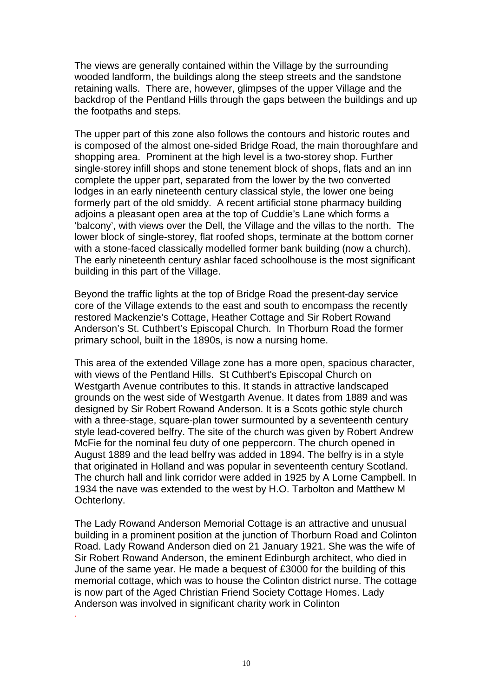The views are generally contained within the Village by the surrounding wooded landform, the buildings along the steep streets and the sandstone retaining walls. There are, however, glimpses of the upper Village and the backdrop of the Pentland Hills through the gaps between the buildings and up the footpaths and steps.

The upper part of this zone also follows the contours and historic routes and is composed of the almost one-sided Bridge Road, the main thoroughfare and shopping area. Prominent at the high level is a two-storey shop. Further single-storey infill shops and stone tenement block of shops, flats and an inn complete the upper part, separated from the lower by the two converted lodges in an early nineteenth century classical style, the lower one being formerly part of the old smiddy. A recent artificial stone pharmacy building adjoins a pleasant open area at the top of Cuddie's Lane which forms a 'balcony', with views over the Dell, the Village and the villas to the north. The lower block of single-storey, flat roofed shops, terminate at the bottom corner with a stone-faced classically modelled former bank building (now a church). The early nineteenth century ashlar faced schoolhouse is the most significant building in this part of the Village.

Beyond the traffic lights at the top of Bridge Road the present-day service core of the Village extends to the east and south to encompass the recently restored Mackenzie's Cottage, Heather Cottage and Sir Robert Rowand Anderson's St. Cuthbert's Episcopal Church. In Thorburn Road the former primary school, built in the 1890s, is now a nursing home.

This area of the extended Village zone has a more open, spacious character, with views of the Pentland Hills. St Cuthbert's Episcopal Church on Westgarth Avenue contributes to this. It stands in attractive landscaped grounds on the west side of Westgarth Avenue. It dates from 1889 and was designed by Sir Robert Rowand Anderson. It is a Scots gothic style church with a three-stage, square-plan tower surmounted by a seventeenth century style lead-covered belfry. The site of the church was given by Robert Andrew McFie for the nominal feu duty of one peppercorn. The church opened in August 1889 and the lead belfry was added in 1894. The belfry is in a style that originated in Holland and was popular in seventeenth century Scotland. The church hall and link corridor were added in 1925 by A Lorne Campbell. In 1934 the nave was extended to the west by H.O. Tarbolton and Matthew M Ochterlony.

The Lady Rowand Anderson Memorial Cottage is an attractive and unusual building in a prominent position at the junction of Thorburn Road and Colinton Road. Lady Rowand Anderson died on 21 January 1921. She was the wife of Sir Robert Rowand Anderson, the eminent Edinburgh architect, who died in June of the same year. He made a bequest of £3000 for the building of this memorial cottage, which was to house the Colinton district nurse. The cottage is now part of the Aged Christian Friend Society Cottage Homes. Lady Anderson was involved in significant charity work in Colinton

.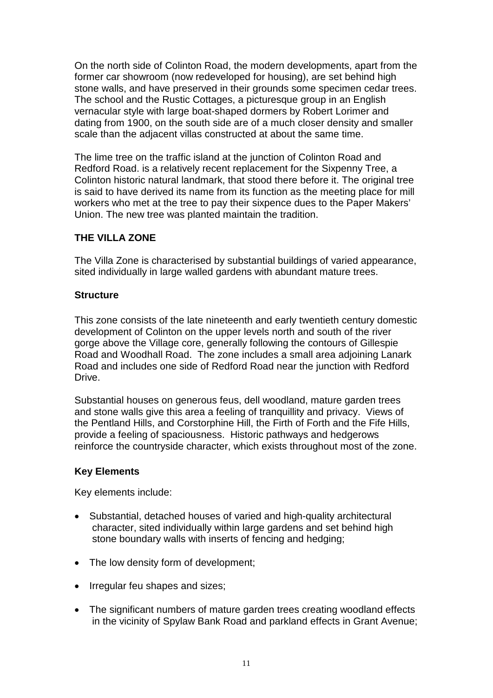On the north side of Colinton Road, the modern developments, apart from the former car showroom (now redeveloped for housing), are set behind high stone walls, and have preserved in their grounds some specimen cedar trees. The school and the Rustic Cottages, a picturesque group in an English vernacular style with large boat-shaped dormers by Robert Lorimer and dating from 1900, on the south side are of a much closer density and smaller scale than the adjacent villas constructed at about the same time.

The lime tree on the traffic island at the junction of Colinton Road and Redford Road. is a relatively recent replacement for the Sixpenny Tree, a Colinton historic natural landmark, that stood there before it. The original tree is said to have derived its name from its function as the meeting place for mill workers who met at the tree to pay their sixpence dues to the Paper Makers' Union. The new tree was planted maintain the tradition.

# **THE VILLA ZONE**

The Villa Zone is characterised by substantial buildings of varied appearance, sited individually in large walled gardens with abundant mature trees.

# **Structure**

This zone consists of the late nineteenth and early twentieth century domestic development of Colinton on the upper levels north and south of the river gorge above the Village core, generally following the contours of Gillespie Road and Woodhall Road. The zone includes a small area adjoining Lanark Road and includes one side of Redford Road near the junction with Redford Drive.

Substantial houses on generous feus, dell woodland, mature garden trees and stone walls give this area a feeling of tranquillity and privacy. Views of the Pentland Hills, and Corstorphine Hill, the Firth of Forth and the Fife Hills, provide a feeling of spaciousness. Historic pathways and hedgerows reinforce the countryside character, which exists throughout most of the zone.

# **Key Elements**

Key elements include:

- Substantial, detached houses of varied and high-quality architectural character, sited individually within large gardens and set behind high stone boundary walls with inserts of fencing and hedging;
- The low density form of development;
- Irregular feu shapes and sizes;
- The significant numbers of mature garden trees creating woodland effects in the vicinity of Spylaw Bank Road and parkland effects in Grant Avenue;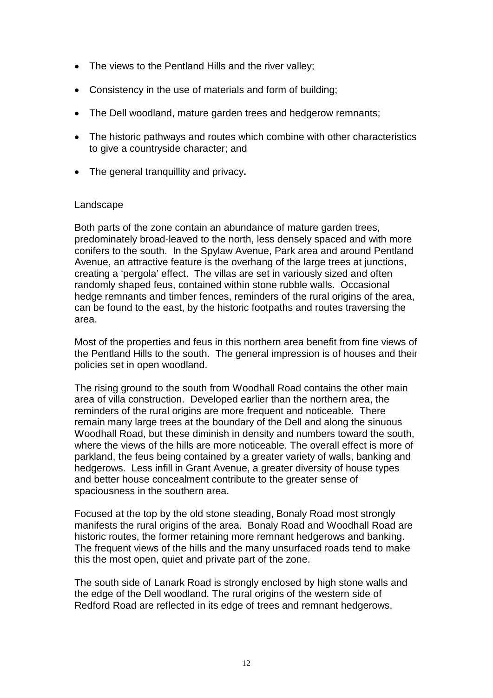- The views to the Pentland Hills and the river valley;
- Consistency in the use of materials and form of building;
- The Dell woodland, mature garden trees and hedgerow remnants;
- The historic pathways and routes which combine with other characteristics to give a countryside character; and
- The general tranquillity and privacy**.**

#### Landscape

Both parts of the zone contain an abundance of mature garden trees, predominately broad-leaved to the north, less densely spaced and with more conifers to the south. In the Spylaw Avenue, Park area and around Pentland Avenue, an attractive feature is the overhang of the large trees at junctions, creating a 'pergola' effect. The villas are set in variously sized and often randomly shaped feus, contained within stone rubble walls. Occasional hedge remnants and timber fences, reminders of the rural origins of the area, can be found to the east, by the historic footpaths and routes traversing the area.

Most of the properties and feus in this northern area benefit from fine views of the Pentland Hills to the south. The general impression is of houses and their policies set in open woodland.

The rising ground to the south from Woodhall Road contains the other main area of villa construction. Developed earlier than the northern area, the reminders of the rural origins are more frequent and noticeable. There remain many large trees at the boundary of the Dell and along the sinuous Woodhall Road, but these diminish in density and numbers toward the south, where the views of the hills are more noticeable. The overall effect is more of parkland, the feus being contained by a greater variety of walls, banking and hedgerows. Less infill in Grant Avenue, a greater diversity of house types and better house concealment contribute to the greater sense of spaciousness in the southern area.

Focused at the top by the old stone steading, Bonaly Road most strongly manifests the rural origins of the area. Bonaly Road and Woodhall Road are historic routes, the former retaining more remnant hedgerows and banking. The frequent views of the hills and the many unsurfaced roads tend to make this the most open, quiet and private part of the zone.

The south side of Lanark Road is strongly enclosed by high stone walls and the edge of the Dell woodland. The rural origins of the western side of Redford Road are reflected in its edge of trees and remnant hedgerows.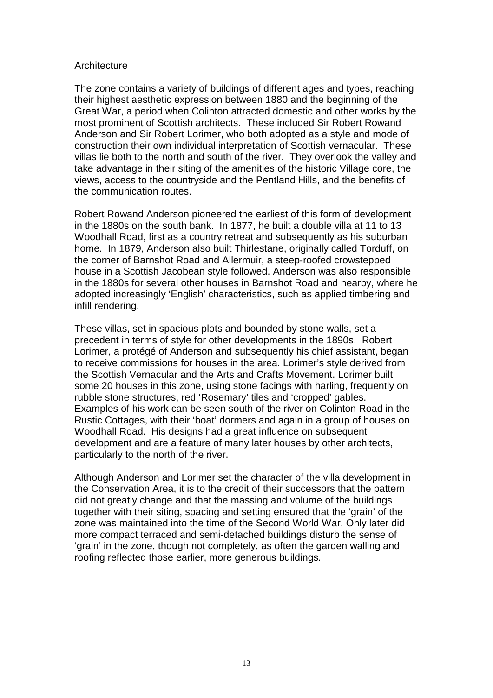#### **Architecture**

The zone contains a variety of buildings of different ages and types, reaching their highest aesthetic expression between 1880 and the beginning of the Great War, a period when Colinton attracted domestic and other works by the most prominent of Scottish architects. These included Sir Robert Rowand Anderson and Sir Robert Lorimer, who both adopted as a style and mode of construction their own individual interpretation of Scottish vernacular. These villas lie both to the north and south of the river. They overlook the valley and take advantage in their siting of the amenities of the historic Village core, the views, access to the countryside and the Pentland Hills, and the benefits of the communication routes.

Robert Rowand Anderson pioneered the earliest of this form of development in the 1880s on the south bank. In 1877, he built a double villa at 11 to 13 Woodhall Road, first as a country retreat and subsequently as his suburban home. In 1879, Anderson also built Thirlestane, originally called Torduff, on the corner of Barnshot Road and Allermuir, a steep-roofed crowstepped house in a Scottish Jacobean style followed. Anderson was also responsible in the 1880s for several other houses in Barnshot Road and nearby, where he adopted increasingly 'English' characteristics, such as applied timbering and infill rendering.

These villas, set in spacious plots and bounded by stone walls, set a precedent in terms of style for other developments in the 1890s. Robert Lorimer, a protégé of Anderson and subsequently his chief assistant, began to receive commissions for houses in the area. Lorimer's style derived from the Scottish Vernacular and the Arts and Crafts Movement. Lorimer built some 20 houses in this zone, using stone facings with harling, frequently on rubble stone structures, red 'Rosemary' tiles and 'cropped' gables. Examples of his work can be seen south of the river on Colinton Road in the Rustic Cottages, with their 'boat' dormers and again in a group of houses on Woodhall Road. His designs had a great influence on subsequent development and are a feature of many later houses by other architects, particularly to the north of the river.

Although Anderson and Lorimer set the character of the villa development in the Conservation Area, it is to the credit of their successors that the pattern did not greatly change and that the massing and volume of the buildings together with their siting, spacing and setting ensured that the 'grain' of the zone was maintained into the time of the Second World War. Only later did more compact terraced and semi-detached buildings disturb the sense of 'grain' in the zone, though not completely, as often the garden walling and roofing reflected those earlier, more generous buildings.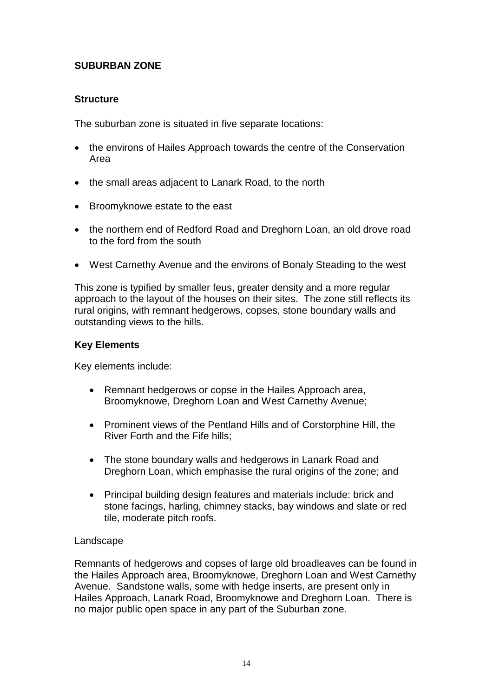# **SUBURBAN ZONE**

# **Structure**

The suburban zone is situated in five separate locations:

- the environs of Hailes Approach towards the centre of the Conservation Area
- the small areas adjacent to Lanark Road, to the north
- Broomyknowe estate to the east
- the northern end of Redford Road and Dreghorn Loan, an old drove road to the ford from the south
- West Carnethy Avenue and the environs of Bonaly Steading to the west

This zone is typified by smaller feus, greater density and a more regular approach to the layout of the houses on their sites. The zone still reflects its rural origins, with remnant hedgerows, copses, stone boundary walls and outstanding views to the hills.

# **Key Elements**

Key elements include:

- Remnant hedgerows or copse in the Hailes Approach area, Broomyknowe, Dreghorn Loan and West Carnethy Avenue;
- Prominent views of the Pentland Hills and of Corstorphine Hill, the River Forth and the Fife hills;
- The stone boundary walls and hedgerows in Lanark Road and Dreghorn Loan, which emphasise the rural origins of the zone; and
- Principal building design features and materials include: brick and stone facings, harling, chimney stacks, bay windows and slate or red tile, moderate pitch roofs.

#### Landscape

Remnants of hedgerows and copses of large old broadleaves can be found in the Hailes Approach area, Broomyknowe, Dreghorn Loan and West Carnethy Avenue. Sandstone walls, some with hedge inserts, are present only in Hailes Approach, Lanark Road, Broomyknowe and Dreghorn Loan. There is no major public open space in any part of the Suburban zone.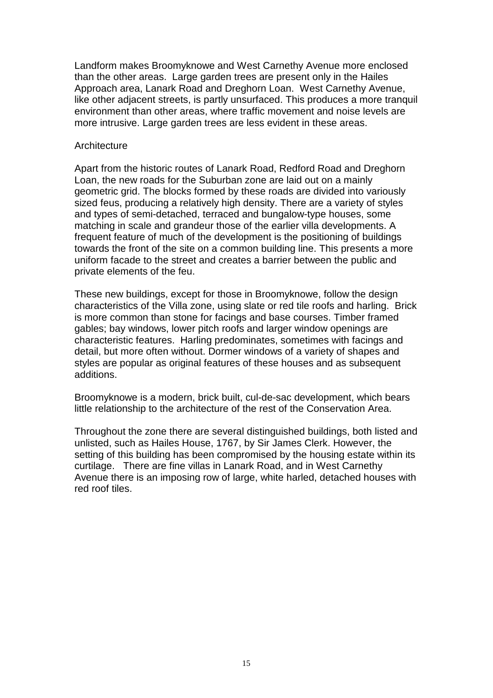Landform makes Broomyknowe and West Carnethy Avenue more enclosed than the other areas. Large garden trees are present only in the Hailes Approach area, Lanark Road and Dreghorn Loan. West Carnethy Avenue, like other adjacent streets, is partly unsurfaced. This produces a more tranquil environment than other areas, where traffic movement and noise levels are more intrusive. Large garden trees are less evident in these areas.

#### **Architecture**

Apart from the historic routes of Lanark Road, Redford Road and Dreghorn Loan, the new roads for the Suburban zone are laid out on a mainly geometric grid. The blocks formed by these roads are divided into variously sized feus, producing a relatively high density. There are a variety of styles and types of semi-detached, terraced and bungalow-type houses, some matching in scale and grandeur those of the earlier villa developments. A frequent feature of much of the development is the positioning of buildings towards the front of the site on a common building line. This presents a more uniform facade to the street and creates a barrier between the public and private elements of the feu.

These new buildings, except for those in Broomyknowe, follow the design characteristics of the Villa zone, using slate or red tile roofs and harling. Brick is more common than stone for facings and base courses. Timber framed gables; bay windows, lower pitch roofs and larger window openings are characteristic features. Harling predominates, sometimes with facings and detail, but more often without. Dormer windows of a variety of shapes and styles are popular as original features of these houses and as subsequent additions.

Broomyknowe is a modern, brick built, cul-de-sac development, which bears little relationship to the architecture of the rest of the Conservation Area.

Throughout the zone there are several distinguished buildings, both listed and unlisted, such as Hailes House, 1767, by Sir James Clerk. However, the setting of this building has been compromised by the housing estate within its curtilage. There are fine villas in Lanark Road, and in West Carnethy Avenue there is an imposing row of large, white harled, detached houses with red roof tiles.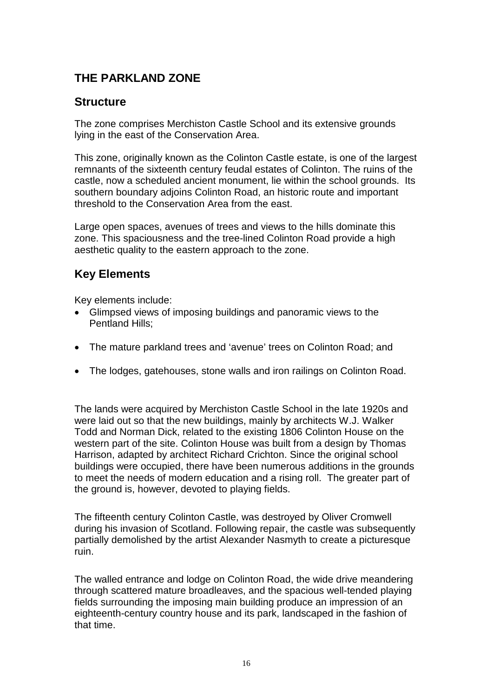# **THE PARKLAND ZONE**

# **Structure**

The zone comprises Merchiston Castle School and its extensive grounds lying in the east of the Conservation Area.

This zone, originally known as the Colinton Castle estate, is one of the largest remnants of the sixteenth century feudal estates of Colinton. The ruins of the castle, now a scheduled ancient monument, lie within the school grounds. Its southern boundary adjoins Colinton Road, an historic route and important threshold to the Conservation Area from the east.

Large open spaces, avenues of trees and views to the hills dominate this zone. This spaciousness and the tree-lined Colinton Road provide a high aesthetic quality to the eastern approach to the zone.

# **Key Elements**

Key elements include:

- Glimpsed views of imposing buildings and panoramic views to the Pentland Hills;
- The mature parkland trees and 'avenue' trees on Colinton Road; and
- The lodges, gatehouses, stone walls and iron railings on Colinton Road.

The lands were acquired by Merchiston Castle School in the late 1920s and were laid out so that the new buildings, mainly by architects W.J. Walker Todd and Norman Dick, related to the existing 1806 Colinton House on the western part of the site. Colinton House was built from a design by Thomas Harrison, adapted by architect Richard Crichton. Since the original school buildings were occupied, there have been numerous additions in the grounds to meet the needs of modern education and a rising roll. The greater part of the ground is, however, devoted to playing fields.

The fifteenth century [Colinton Castle,](https://en.wikipedia.org/w/index.php?title=Colinton_Castle&action=edit&redlink=1) was destroyed by [Oliver Cromwell](https://en.wikipedia.org/wiki/Oliver_Cromwell) during his invasion of Scotland. Following repair, the castle was subsequently partially demolished by the artist [Alexander Nasmyth](https://en.wikipedia.org/wiki/Alexander_Nasmyth) to create a picturesque ruin.

The walled entrance and lodge on Colinton Road, the wide drive meandering through scattered mature broadleaves, and the spacious well-tended playing fields surrounding the imposing main building produce an impression of an eighteenth-century country house and its park, landscaped in the fashion of that time.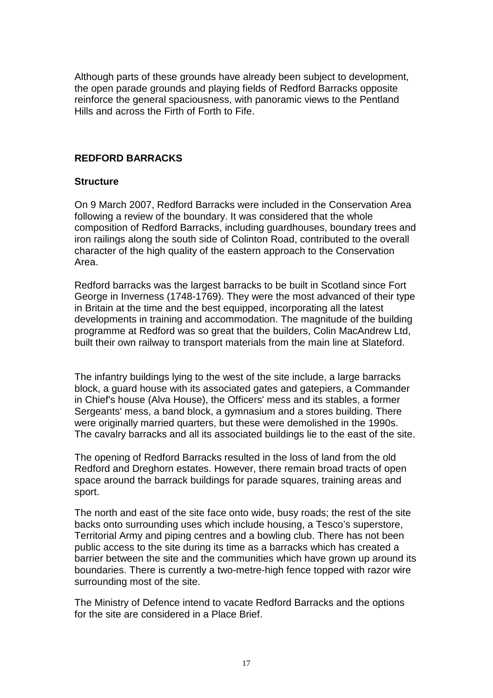Although parts of these grounds have already been subject to development, the open parade grounds and playing fields of Redford Barracks opposite reinforce the general spaciousness, with panoramic views to the Pentland Hills and across the Firth of Forth to Fife.

# **REDFORD BARRACKS**

#### **Structure**

On 9 March 2007, Redford Barracks were included in the Conservation Area following a review of the boundary. It was considered that the whole composition of Redford Barracks, including guardhouses, boundary trees and iron railings along the south side of Colinton Road, contributed to the overall character of the high quality of the eastern approach to the Conservation Area.

Redford barracks was the largest barracks to be built in Scotland since Fort George in Inverness (1748-1769). They were the most advanced of their type in Britain at the time and the best equipped, incorporating all the latest developments in training and accommodation. The magnitude of the building programme at Redford was so great that the builders, Colin MacAndrew Ltd, built their own railway to transport materials from the main line at Slateford.

The infantry buildings lying to the west of the site include, a large barracks block, a guard house with its associated gates and gatepiers, a Commander in Chief's house (Alva House), the Officers' mess and its stables, a former Sergeants' mess, a band block, a gymnasium and a stores building. There were originally married quarters, but these were demolished in the 1990s. The cavalry barracks and all its associated buildings lie to the east of the site.

The opening of Redford Barracks resulted in the loss of land from the old Redford and Dreghorn estates. However, there remain broad tracts of open space around the barrack buildings for parade squares, training areas and sport.

The north and east of the site face onto wide, busy roads; the rest of the site backs onto surrounding uses which include housing, a Tesco's superstore, Territorial Army and piping centres and a bowling club. There has not been public access to the site during its time as a barracks which has created a barrier between the site and the communities which have grown up around its boundaries. There is currently a two-metre-high fence topped with razor wire surrounding most of the site.

The Ministry of Defence intend to vacate Redford Barracks and the options for the site are considered in a Place Brief.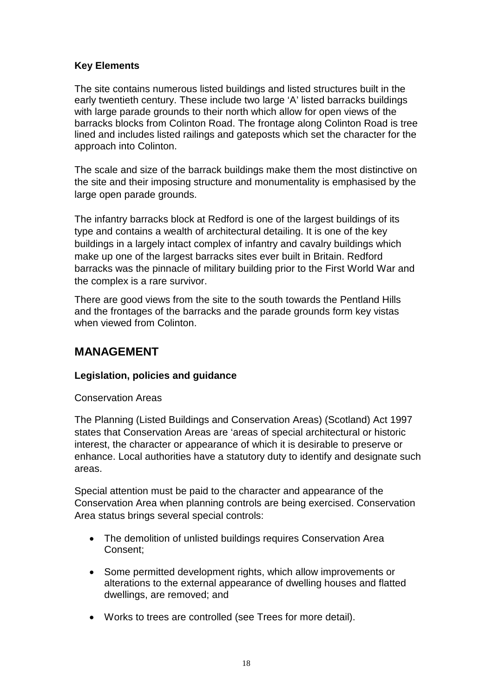# **Key Elements**

The site contains numerous listed buildings and listed structures built in the early twentieth century. These include two large 'A' listed barracks buildings with large parade grounds to their north which allow for open views of the barracks blocks from Colinton Road. The frontage along Colinton Road is tree lined and includes listed railings and gateposts which set the character for the approach into Colinton.

The scale and size of the barrack buildings make them the most distinctive on the site and their imposing structure and monumentality is emphasised by the large open parade grounds.

The infantry barracks block at Redford is one of the largest buildings of its type and contains a wealth of architectural detailing. It is one of the key buildings in a largely intact complex of infantry and cavalry buildings which make up one of the largest barracks sites ever built in Britain. Redford barracks was the pinnacle of military building prior to the First World War and the complex is a rare survivor.

There are good views from the site to the south towards the Pentland Hills and the frontages of the barracks and the parade grounds form key vistas when viewed from Colinton.

# **MANAGEMENT**

# **Legislation, policies and guidance**

Conservation Areas

The Planning (Listed Buildings and Conservation Areas) (Scotland) Act 1997 states that Conservation Areas are 'areas of special architectural or historic interest, the character or appearance of which it is desirable to preserve or enhance. Local authorities have a statutory duty to identify and designate such areas.

Special attention must be paid to the character and appearance of the Conservation Area when planning controls are being exercised. Conservation Area status brings several special controls:

- The demolition of unlisted buildings requires Conservation Area Consent;
- Some permitted development rights, which allow improvements or alterations to the external appearance of dwelling houses and flatted dwellings, are removed; and
- Works to trees are controlled (see Trees for more detail).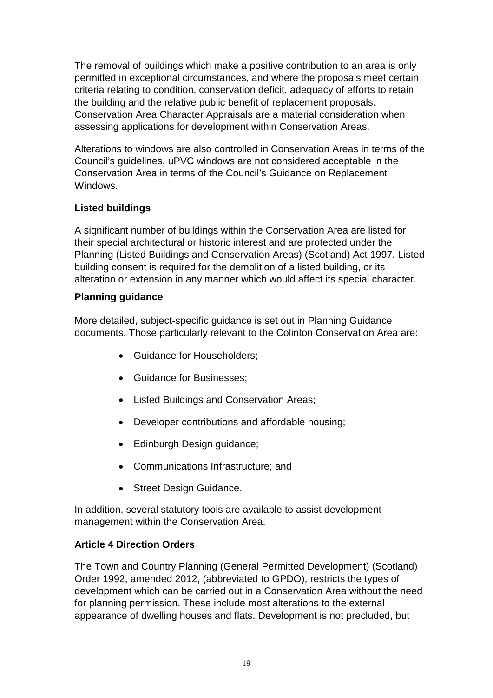The removal of buildings which make a positive contribution to an area is only permitted in exceptional circumstances, and where the proposals meet certain criteria relating to condition, conservation deficit, adequacy of efforts to retain the building and the relative public benefit of replacement proposals. Conservation Area Character Appraisals are a material consideration when assessing applications for development within Conservation Areas.

Alterations to windows are also controlled in Conservation Areas in terms of the Council's guidelines. uPVC windows are not considered acceptable in the Conservation Area in terms of the Council's Guidance on Replacement Windows.

# **Listed buildings**

A significant number of buildings within the Conservation Area are listed for their special architectural or historic interest and are protected under the Planning (Listed Buildings and Conservation Areas) (Scotland) Act 1997. Listed building consent is required for the demolition of a listed building, or its alteration or extension in any manner which would affect its special character.

# **Planning guidance**

More detailed, subject-specific guidance is set out in Planning Guidance documents. Those particularly relevant to the Colinton Conservation Area are:

- Guidance for Householders;
- Guidance for Businesses;
- Listed Buildings and Conservation Areas;
- Developer contributions and affordable housing;
- Edinburgh Design guidance;
- Communications Infrastructure; and
- Street Design Guidance.

In addition, several statutory tools are available to assist development management within the Conservation Area.

# **Article 4 Direction Orders**

The Town and Country Planning (General Permitted Development) (Scotland) Order 1992, amended 2012, (abbreviated to GPDO), restricts the types of development which can be carried out in a Conservation Area without the need for planning permission. These include most alterations to the external appearance of dwelling houses and flats. Development is not precluded, but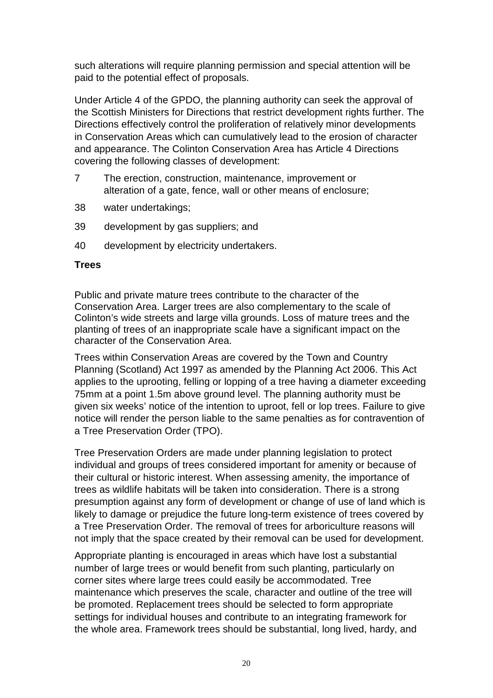such alterations will require planning permission and special attention will be paid to the potential effect of proposals.

Under Article 4 of the GPDO, the planning authority can seek the approval of the Scottish Ministers for Directions that restrict development rights further. The Directions effectively control the proliferation of relatively minor developments in Conservation Areas which can cumulatively lead to the erosion of character and appearance. The Colinton Conservation Area has Article 4 Directions covering the following classes of development:

- 7 The erection, construction, maintenance, improvement or alteration of a gate, fence, wall or other means of enclosure;
- 38 water undertakings;
- 39 development by gas suppliers; and
- 40 development by electricity undertakers.

#### **Trees**

Public and private mature trees contribute to the character of the Conservation Area. Larger trees are also complementary to the scale of Colinton's wide streets and large villa grounds. Loss of mature trees and the planting of trees of an inappropriate scale have a significant impact on the character of the Conservation Area.

Trees within Conservation Areas are covered by the Town and Country Planning (Scotland) Act 1997 as amended by the Planning Act 2006. This Act applies to the uprooting, felling or lopping of a tree having a diameter exceeding 75mm at a point 1.5m above ground level. The planning authority must be given six weeks' notice of the intention to uproot, fell or lop trees. Failure to give notice will render the person liable to the same penalties as for contravention of a Tree Preservation Order (TPO).

Tree Preservation Orders are made under planning legislation to protect individual and groups of trees considered important for amenity or because of their cultural or historic interest. When assessing amenity, the importance of trees as wildlife habitats will be taken into consideration. There is a strong presumption against any form of development or change of use of land which is likely to damage or prejudice the future long-term existence of trees covered by a Tree Preservation Order. The removal of trees for arboriculture reasons will not imply that the space created by their removal can be used for development.

Appropriate planting is encouraged in areas which have lost a substantial number of large trees or would benefit from such planting, particularly on corner sites where large trees could easily be accommodated. Tree maintenance which preserves the scale, character and outline of the tree will be promoted. Replacement trees should be selected to form appropriate settings for individual houses and contribute to an integrating framework for the whole area. Framework trees should be substantial, long lived, hardy, and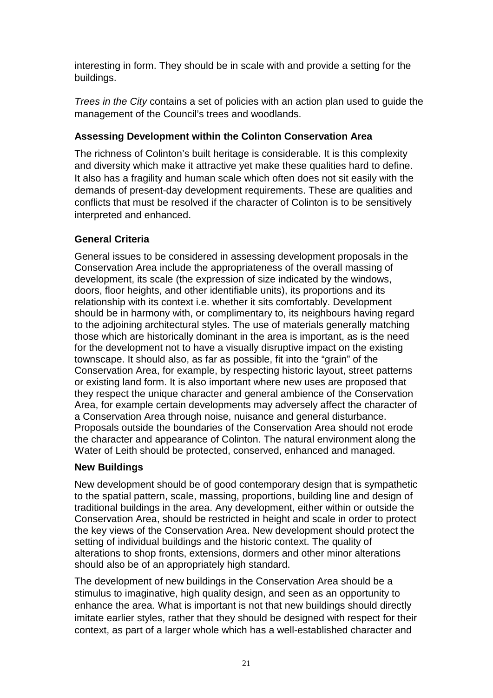interesting in form. They should be in scale with and provide a setting for the buildings.

*Trees in the City* contains a set of policies with an action plan used to guide the management of the Council's trees and woodlands.

# **Assessing Development within the Colinton Conservation Area**

The richness of Colinton's built heritage is considerable. It is this complexity and diversity which make it attractive yet make these qualities hard to define. It also has a fragility and human scale which often does not sit easily with the demands of present-day development requirements. These are qualities and conflicts that must be resolved if the character of Colinton is to be sensitively interpreted and enhanced.

# **General Criteria**

General issues to be considered in assessing development proposals in the Conservation Area include the appropriateness of the overall massing of development, its scale (the expression of size indicated by the windows, doors, floor heights, and other identifiable units), its proportions and its relationship with its context i.e. whether it sits comfortably. Development should be in harmony with, or complimentary to, its neighbours having regard to the adjoining architectural styles. The use of materials generally matching those which are historically dominant in the area is important, as is the need for the development not to have a visually disruptive impact on the existing townscape. It should also, as far as possible, fit into the "grain" of the Conservation Area, for example, by respecting historic layout, street patterns or existing land form. It is also important where new uses are proposed that they respect the unique character and general ambience of the Conservation Area, for example certain developments may adversely affect the character of a Conservation Area through noise, nuisance and general disturbance. Proposals outside the boundaries of the Conservation Area should not erode the character and appearance of Colinton. The natural environment along the Water of Leith should be protected, conserved, enhanced and managed.

# **New Buildings**

New development should be of good contemporary design that is sympathetic to the spatial pattern, scale, massing, proportions, building line and design of traditional buildings in the area. Any development, either within or outside the Conservation Area, should be restricted in height and scale in order to protect the key views of the Conservation Area. New development should protect the setting of individual buildings and the historic context. The quality of alterations to shop fronts, extensions, dormers and other minor alterations should also be of an appropriately high standard.

The development of new buildings in the Conservation Area should be a stimulus to imaginative, high quality design, and seen as an opportunity to enhance the area. What is important is not that new buildings should directly imitate earlier styles, rather that they should be designed with respect for their context, as part of a larger whole which has a well-established character and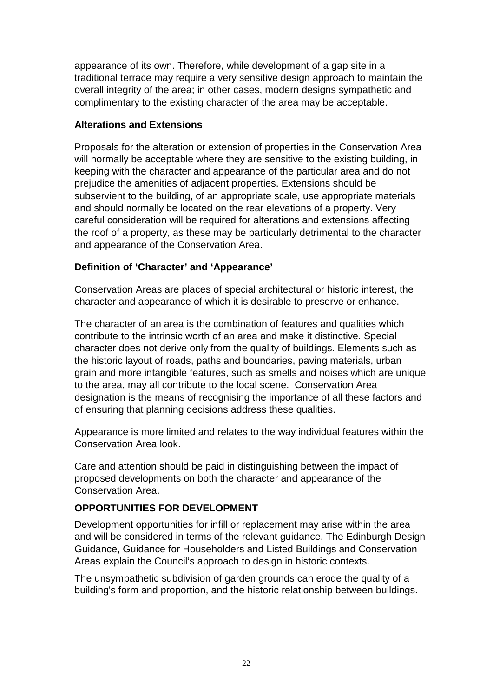appearance of its own. Therefore, while development of a gap site in a traditional terrace may require a very sensitive design approach to maintain the overall integrity of the area; in other cases, modern designs sympathetic and complimentary to the existing character of the area may be acceptable.

# **Alterations and Extensions**

Proposals for the alteration or extension of properties in the Conservation Area will normally be acceptable where they are sensitive to the existing building, in keeping with the character and appearance of the particular area and do not prejudice the amenities of adjacent properties. Extensions should be subservient to the building, of an appropriate scale, use appropriate materials and should normally be located on the rear elevations of a property. Very careful consideration will be required for alterations and extensions affecting the roof of a property, as these may be particularly detrimental to the character and appearance of the Conservation Area.

# **Definition of 'Character' and 'Appearance'**

Conservation Areas are places of special architectural or historic interest, the character and appearance of which it is desirable to preserve or enhance.

The character of an area is the combination of features and qualities which contribute to the intrinsic worth of an area and make it distinctive. Special character does not derive only from the quality of buildings. Elements such as the historic layout of roads, paths and boundaries, paving materials, urban grain and more intangible features, such as smells and noises which are unique to the area, may all contribute to the local scene. Conservation Area designation is the means of recognising the importance of all these factors and of ensuring that planning decisions address these qualities.

Appearance is more limited and relates to the way individual features within the Conservation Area look.

Care and attention should be paid in distinguishing between the impact of proposed developments on both the character and appearance of the Conservation Area.

# **OPPORTUNITIES FOR DEVELOPMENT**

Development opportunities for infill or replacement may arise within the area and will be considered in terms of the relevant guidance. The Edinburgh Design Guidance, Guidance for Householders and Listed Buildings and Conservation Areas explain the Council's approach to design in historic contexts.

The unsympathetic subdivision of garden grounds can erode the quality of a building's form and proportion, and the historic relationship between buildings.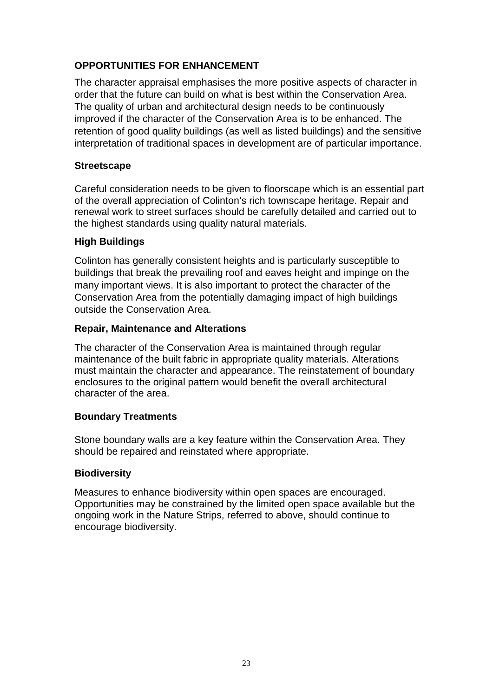# **OPPORTUNITIES FOR ENHANCEMENT**

The character appraisal emphasises the more positive aspects of character in order that the future can build on what is best within the Conservation Area. The quality of urban and architectural design needs to be continuously improved if the character of the Conservation Area is to be enhanced. The retention of good quality buildings (as well as listed buildings) and the sensitive interpretation of traditional spaces in development are of particular importance.

#### **Streetscape**

Careful consideration needs to be given to floorscape which is an essential part of the overall appreciation of Colinton's rich townscape heritage. Repair and renewal work to street surfaces should be carefully detailed and carried out to the highest standards using quality natural materials.

# **High Buildings**

Colinton has generally consistent heights and is particularly susceptible to buildings that break the prevailing roof and eaves height and impinge on the many important views. It is also important to protect the character of the Conservation Area from the potentially damaging impact of high buildings outside the Conservation Area.

#### **Repair, Maintenance and Alterations**

The character of the Conservation Area is maintained through regular maintenance of the built fabric in appropriate quality materials. Alterations must maintain the character and appearance. The reinstatement of boundary enclosures to the original pattern would benefit the overall architectural character of the area.

# **Boundary Treatments**

Stone boundary walls are a key feature within the Conservation Area. They should be repaired and reinstated where appropriate.

#### **Biodiversity**

Measures to enhance biodiversity within open spaces are encouraged. Opportunities may be constrained by the limited open space available but the ongoing work in the Nature Strips, referred to above, should continue to encourage biodiversity.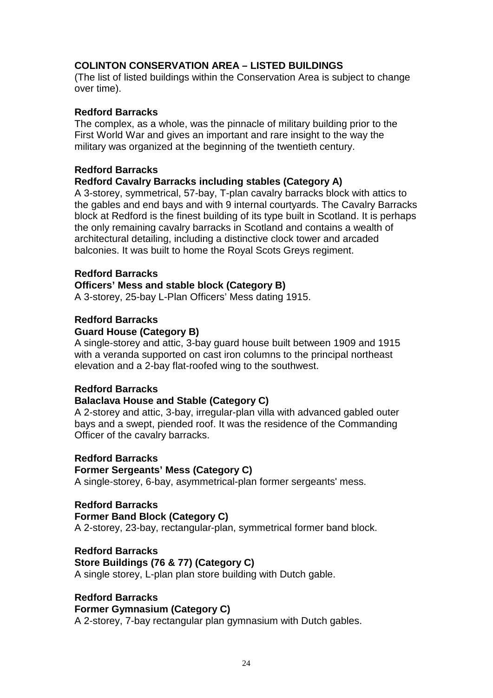# **COLINTON CONSERVATION AREA – LISTED BUILDINGS**

(The list of listed buildings within the Conservation Area is subject to change over time).

# **Redford Barracks**

The complex, as a whole, was the pinnacle of military building prior to the First World War and gives an important and rare insight to the way the military was organized at the beginning of the twentieth century.

# **Redford Barracks**

# **Redford Cavalry Barracks including stables (Category A)**

A 3-storey, symmetrical, 57-bay, T-plan cavalry barracks block with attics to the gables and end bays and with 9 internal courtyards. The Cavalry Barracks block at Redford is the finest building of its type built in Scotland. It is perhaps the only remaining cavalry barracks in Scotland and contains a wealth of architectural detailing, including a distinctive clock tower and arcaded balconies. It was built to home the Royal Scots Greys regiment.

#### **Redford Barracks**

# **Officers' Mess and stable block (Category B)**

A 3-storey, 25-bay L-Plan Officers' Mess dating 1915.

# **Redford Barracks**

# **Guard House (Category B)**

A single-storey and attic, 3-bay guard house built between 1909 and 1915 with a veranda supported on cast iron columns to the principal northeast elevation and a 2-bay flat-roofed wing to the southwest.

# **Redford Barracks**

# **Balaclava House and Stable (Category C)**

A 2-storey and attic, 3-bay, irregular-plan villa with advanced gabled outer bays and a swept, piended roof. It was the residence of the Commanding Officer of the cavalry barracks.

#### **Redford Barracks**

#### **Former Sergeants' Mess (Category C)**

A single-storey, 6-bay, asymmetrical-plan former sergeants' mess.

#### **Redford Barracks**

#### **Former Band Block (Category C)**

A 2-storey, 23-bay, rectangular-plan, symmetrical former band block.

#### **Redford Barracks**

#### **Store Buildings (76 & 77) (Category C)**

A single storey, L-plan plan store building with Dutch gable.

#### **Redford Barracks Former Gymnasium (Category C)**

A 2-storey, 7-bay rectangular plan gymnasium with Dutch gables.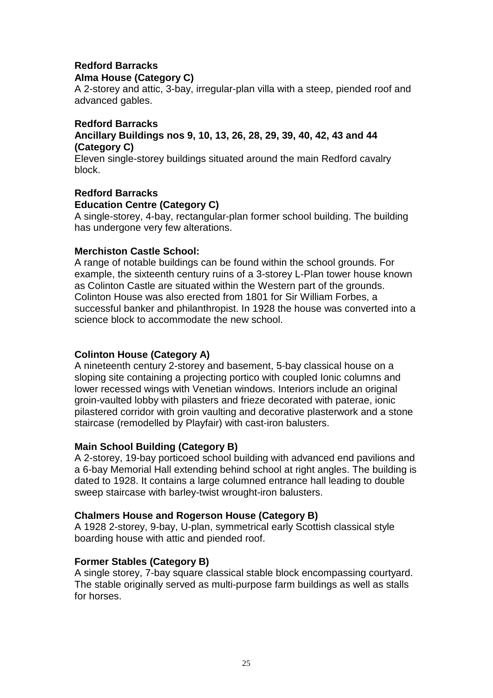#### **Redford Barracks Alma House (Category C)**

A 2-storey and attic, 3-bay, irregular-plan villa with a steep, piended roof and advanced gables.

#### **Redford Barracks Ancillary Buildings nos 9, 10, 13, 26, 28, 29, 39, 40, 42, 43 and 44 (Category C)**

Eleven single-storey buildings situated around the main Redford cavalry block.

# **Redford Barracks Education Centre (Category C)**

A single-storey, 4-bay, rectangular-plan former school building. The building has undergone very few alterations.

# **Merchiston Castle School:**

A range of notable buildings can be found within the school grounds. For example, the sixteenth century ruins of a 3-storey L-Plan tower house known as Colinton Castle are situated within the Western part of the grounds. Colinton House was also erected from 1801 for Sir William Forbes, a successful banker and philanthropist. In 1928 the house was converted into a science block to accommodate the new school.

# **Colinton House (Category A)**

A nineteenth century 2-storey and basement, 5-bay classical house on a sloping site containing a projecting portico with coupled Ionic columns and lower recessed wings with Venetian windows. Interiors include an original groin-vaulted lobby with pilasters and frieze decorated with paterae, ionic pilastered corridor with groin vaulting and decorative plasterwork and a stone staircase (remodelled by Playfair) with cast-iron balusters.

# **Main School Building (Category B)**

A 2-storey, 19-bay porticoed school building with advanced end pavilions and a 6-bay Memorial Hall extending behind school at right angles. The building is dated to 1928. It contains a large columned entrance hall leading to double sweep staircase with barley-twist wrought-iron balusters.

# **Chalmers House and Rogerson House (Category B)**

A 1928 2-storey, 9-bay, U-plan, symmetrical early Scottish classical style boarding house with attic and piended roof.

# **Former Stables (Category B)**

A single storey, 7-bay square classical stable block encompassing courtyard. The stable originally served as multi-purpose farm buildings as well as stalls for horses.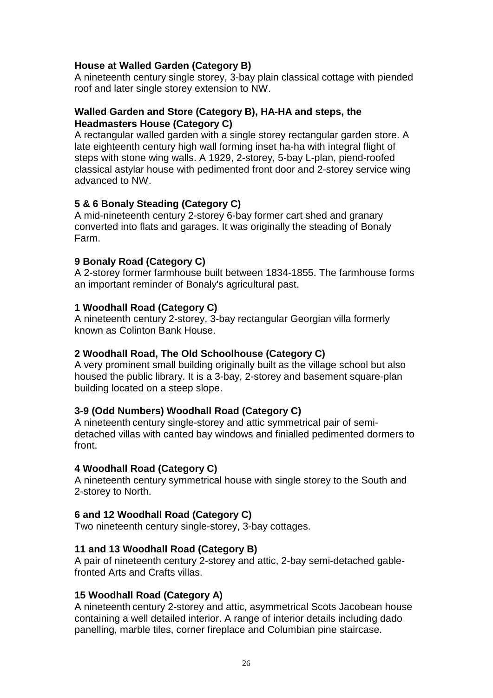# **House at Walled Garden (Category B)**

A nineteenth century single storey, 3-bay plain classical cottage with piended roof and later single storey extension to NW.

#### **Walled Garden and Store (Category B), HA-HA and steps, the Headmasters House (Category C)**

A rectangular walled garden with a single storey rectangular garden store. A late eighteenth century high wall forming inset ha-ha with integral flight of steps with stone wing walls. A 1929, 2-storey, 5-bay L-plan, piend-roofed classical astylar house with pedimented front door and 2-storey service wing advanced to NW.

# **5 & 6 Bonaly Steading (Category C)**

A mid-nineteenth century 2-storey 6-bay former cart shed and granary converted into flats and garages. It was originally the steading of Bonaly Farm.

# **9 Bonaly Road (Category C)**

A 2-storey former farmhouse built between 1834-1855. The farmhouse forms an important reminder of Bonaly's agricultural past.

# **1 Woodhall Road (Category C)**

A nineteenth century 2-storey, 3-bay rectangular Georgian villa formerly known as Colinton Bank House.

#### **2 Woodhall Road, The Old Schoolhouse (Category C)**

A very prominent small building originally built as the village school but also housed the public library. It is a 3-bay, 2-storey and basement square-plan building located on a steep slope.

#### **3-9 (Odd Numbers) Woodhall Road (Category C)**

A nineteenth century single-storey and attic symmetrical pair of semidetached villas with canted bay windows and finialled pedimented dormers to front.

#### **4 Woodhall Road (Category C)**

A nineteenth century symmetrical house with single storey to the South and 2-storey to North.

#### **6 and 12 Woodhall Road (Category C)**

Two nineteenth century single-storey, 3-bay cottages.

#### **11 and 13 Woodhall Road (Category B)**

A pair of nineteenth century 2-storey and attic, 2-bay semi-detached gablefronted Arts and Crafts villas.

#### **15 Woodhall Road (Category A)**

A nineteenth century 2-storey and attic, asymmetrical Scots Jacobean house containing a well detailed interior. A range of interior details including dado panelling, marble tiles, corner fireplace and Columbian pine staircase.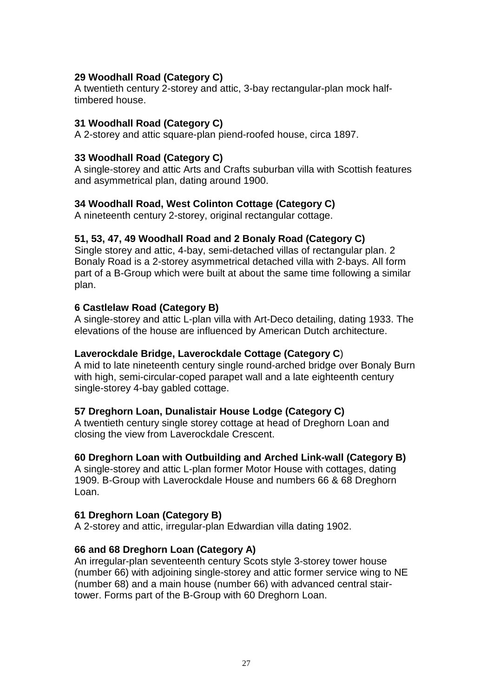# **29 Woodhall Road (Category C)**

A twentieth century 2-storey and attic, 3-bay rectangular-plan mock halftimbered house.

#### **31 Woodhall Road (Category C)**

A 2-storey and attic square-plan piend-roofed house, circa 1897.

#### **33 Woodhall Road (Category C)**

A single-storey and attic Arts and Crafts suburban villa with Scottish features and asymmetrical plan, dating around 1900.

#### **34 Woodhall Road, West Colinton Cottage (Category C)**

A nineteenth century 2-storey, original rectangular cottage.

#### **51, 53, 47, 49 Woodhall Road and 2 Bonaly Road (Category C)**

Single storey and attic, 4-bay, semi-detached villas of rectangular plan. 2 Bonaly Road is a 2-storey asymmetrical detached villa with 2-bays. All form part of a B-Group which were built at about the same time following a similar plan.

#### **6 Castlelaw Road (Category B)**

A single-storey and attic L-plan villa with Art-Deco detailing, dating 1933. The elevations of the house are influenced by American Dutch architecture.

#### **Laverockdale Bridge, Laverockdale Cottage (Category C**)

A mid to late nineteenth century single round-arched bridge over Bonaly Burn with high, semi-circular-coped parapet wall and a late eighteenth century single-storey 4-bay gabled cottage.

#### **57 Dreghorn Loan, Dunalistair House Lodge (Category C)**

A twentieth century single storey cottage at head of Dreghorn Loan and closing the view from Laverockdale Crescent.

#### **60 Dreghorn Loan with Outbuilding and Arched Link-wall (Category B)**

A single-storey and attic L-plan former Motor House with cottages, dating 1909. B-Group with Laverockdale House and numbers 66 & 68 Dreghorn Loan.

#### **61 Dreghorn Loan (Category B)**

A 2-storey and attic, irregular-plan Edwardian villa dating 1902.

#### **66 and 68 Dreghorn Loan (Category A)**

An irregular-plan seventeenth century Scots style 3-storey tower house (number 66) with adjoining single-storey and attic former service wing to NE (number 68) and a main house (number 66) with advanced central stairtower. Forms part of the B-Group with 60 Dreghorn Loan.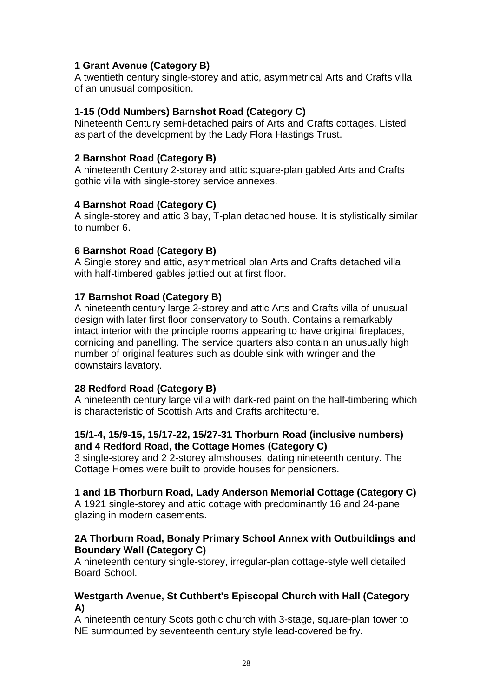# **1 Grant Avenue (Category B)**

A twentieth century single-storey and attic, asymmetrical Arts and Crafts villa of an unusual composition.

# **1-15 (Odd Numbers) Barnshot Road (Category C)**

Nineteenth Century semi-detached pairs of Arts and Crafts cottages. Listed as part of the development by the Lady Flora Hastings Trust.

# **2 Barnshot Road (Category B)**

A nineteenth Century 2-storey and attic square-plan gabled Arts and Crafts gothic villa with single-storey service annexes.

# **4 Barnshot Road (Category C)**

A single-storey and attic 3 bay, T-plan detached house. It is stylistically similar to number 6.

# **6 Barnshot Road (Category B)**

A Single storey and attic, asymmetrical plan Arts and Crafts detached villa with half-timbered gables jettied out at first floor.

# **17 Barnshot Road (Category B)**

A nineteenth century large 2-storey and attic Arts and Crafts villa of unusual design with later first floor conservatory to South. Contains a remarkably intact interior with the principle rooms appearing to have original fireplaces, cornicing and panelling. The service quarters also contain an unusually high number of original features such as double sink with wringer and the downstairs lavatory.

# **28 Redford Road (Category B)**

A nineteenth century large villa with dark-red paint on the half-timbering which is characteristic of Scottish Arts and Crafts architecture.

# **15/1-4, 15/9-15, 15/17-22, 15/27-31 Thorburn Road (inclusive numbers) and 4 Redford Road, the Cottage Homes (Category C)**

3 single-storey and 2 2-storey almshouses, dating nineteenth century. The Cottage Homes were built to provide houses for pensioners.

# **1 and 1B Thorburn Road, Lady Anderson Memorial Cottage (Category C)**

A 1921 single-storey and attic cottage with predominantly 16 and 24-pane glazing in modern casements.

# **2A Thorburn Road, Bonaly Primary School Annex with Outbuildings and Boundary Wall (Category C)**

A nineteenth century single-storey, irregular-plan cottage-style well detailed Board School.

# **Westgarth Avenue, St Cuthbert's Episcopal Church with Hall (Category A)**

A nineteenth century Scots gothic church with 3-stage, square-plan tower to NE surmounted by seventeenth century style lead-covered belfry.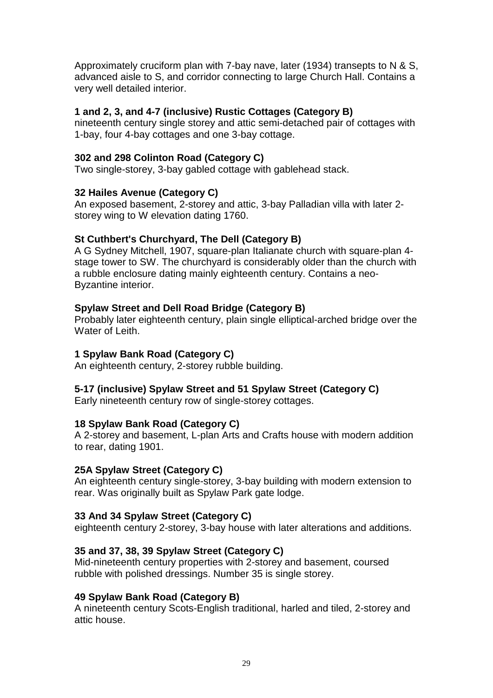Approximately cruciform plan with 7-bay nave, later (1934) transepts to N & S, advanced aisle to S, and corridor connecting to large Church Hall. Contains a very well detailed interior.

#### **1 and 2, 3, and 4-7 (inclusive) Rustic Cottages (Category B)**

nineteenth century single storey and attic semi-detached pair of cottages with 1-bay, four 4-bay cottages and one 3-bay cottage.

# **302 and 298 Colinton Road (Category C)**

Two single-storey, 3-bay gabled cottage with gablehead stack.

# **32 Hailes Avenue (Category C)**

An exposed basement, 2-storey and attic, 3-bay Palladian villa with later 2 storey wing to W elevation dating 1760.

# **St Cuthbert's Churchyard, The Dell (Category B)**

A G Sydney Mitchell, 1907, square-plan Italianate church with square-plan 4 stage tower to SW. The churchyard is considerably older than the church with a rubble enclosure dating mainly eighteenth century. Contains a neo-Byzantine interior.

# **Spylaw Street and Dell Road Bridge (Category B)**

Probably later eighteenth century, plain single elliptical-arched bridge over the Water of Leith.

#### **1 Spylaw Bank Road (Category C)**

An eighteenth century, 2-storey rubble building.

# **5-17 (inclusive) Spylaw Street and 51 Spylaw Street (Category C)**

Early nineteenth century row of single-storey cottages.

#### **18 Spylaw Bank Road (Category C)**

A 2-storey and basement, L-plan Arts and Crafts house with modern addition to rear, dating 1901.

#### **25A Spylaw Street (Category C)**

An eighteenth century single-storey, 3-bay building with modern extension to rear. Was originally built as Spylaw Park gate lodge.

# **33 And 34 Spylaw Street (Category C)**

eighteenth century 2-storey, 3-bay house with later alterations and additions.

# **35 and 37, 38, 39 Spylaw Street (Category C)**

Mid-nineteenth century properties with 2-storey and basement, coursed rubble with polished dressings. Number 35 is single storey.

#### **49 Spylaw Bank Road (Category B)**

A nineteenth century Scots-English traditional, harled and tiled, 2-storey and attic house.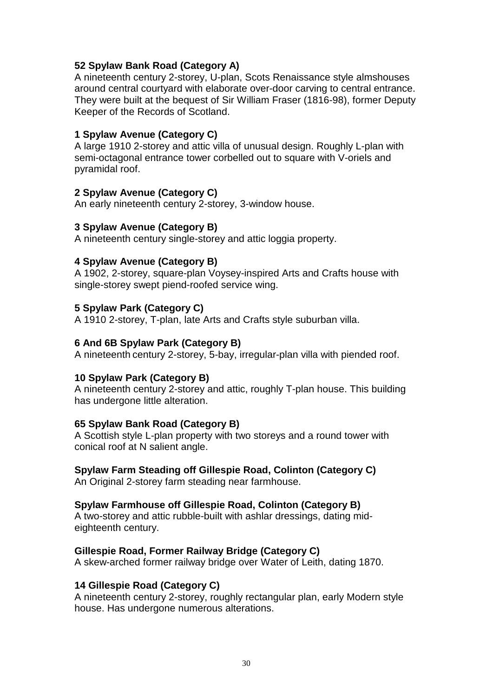# **52 Spylaw Bank Road (Category A)**

A nineteenth century 2-storey, U-plan, Scots Renaissance style almshouses around central courtyard with elaborate over-door carving to central entrance. They were built at the bequest of Sir William Fraser (1816-98), former Deputy Keeper of the Records of Scotland.

#### **1 Spylaw Avenue (Category C)**

A large 1910 2-storey and attic villa of unusual design. Roughly L-plan with semi-octagonal entrance tower corbelled out to square with V-oriels and pyramidal roof.

# **2 Spylaw Avenue (Category C)**

An early nineteenth century 2-storey, 3-window house.

#### **3 Spylaw Avenue (Category B)**

A nineteenth century single-storey and attic loggia property.

#### **4 Spylaw Avenue (Category B)**

A 1902, 2-storey, square-plan Voysey-inspired Arts and Crafts house with single-storey swept piend-roofed service wing.

# **5 Spylaw Park (Category C)**

A 1910 2-storey, T-plan, late Arts and Crafts style suburban villa.

#### **6 And 6B Spylaw Park (Category B)**

A nineteenth century 2-storey, 5-bay, irregular-plan villa with piended roof.

#### **10 Spylaw Park (Category B)**

A nineteenth century 2-storey and attic, roughly T-plan house. This building has undergone little alteration.

#### **65 Spylaw Bank Road (Category B)**

A Scottish style L-plan property with two storeys and a round tower with conical roof at N salient angle.

#### **Spylaw Farm Steading off Gillespie Road, Colinton (Category C)**

An Original 2-storey farm steading near farmhouse.

#### **Spylaw Farmhouse off Gillespie Road, Colinton (Category B)**

A two-storey and attic rubble-built with ashlar dressings, dating mideighteenth century.

#### **Gillespie Road, Former Railway Bridge (Category C)**

A skew-arched former railway bridge over Water of Leith, dating 1870.

#### **14 Gillespie Road (Category C)**

A nineteenth century 2-storey, roughly rectangular plan, early Modern style house. Has undergone numerous alterations.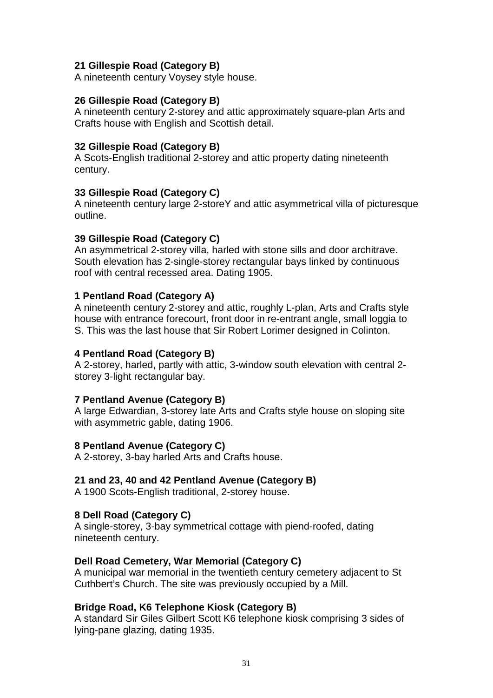# **21 Gillespie Road (Category B)**

A nineteenth century Voysey style house.

#### **26 Gillespie Road (Category B)**

A nineteenth century 2-storey and attic approximately square-plan Arts and Crafts house with English and Scottish detail.

#### **32 Gillespie Road (Category B)**

A Scots-English traditional 2-storey and attic property dating nineteenth century.

#### **33 Gillespie Road (Category C)**

A nineteenth century large 2-storeY and attic asymmetrical villa of picturesque outline.

#### **39 Gillespie Road (Category C)**

An asymmetrical 2-storey villa, harled with stone sills and door architrave. South elevation has 2-single-storey rectangular bays linked by continuous roof with central recessed area. Dating 1905.

#### **1 Pentland Road (Category A)**

A nineteenth century 2-storey and attic, roughly L-plan, Arts and Crafts style house with entrance forecourt, front door in re-entrant angle, small loggia to S. This was the last house that Sir Robert Lorimer designed in Colinton.

#### **4 Pentland Road (Category B)**

A 2-storey, harled, partly with attic, 3-window south elevation with central 2 storey 3-light rectangular bay.

#### **7 Pentland Avenue (Category B)**

A large Edwardian, 3-storey late Arts and Crafts style house on sloping site with asymmetric gable, dating 1906.

#### **8 Pentland Avenue (Category C)**

A 2-storey, 3-bay harled Arts and Crafts house.

#### **21 and 23, 40 and 42 Pentland Avenue (Category B)**

A 1900 Scots-English traditional, 2-storey house.

#### **8 Dell Road (Category C)**

A single-storey, 3-bay symmetrical cottage with piend-roofed, dating nineteenth century.

#### **Dell Road Cemetery, War Memorial (Category C)**

A municipal war memorial in the twentieth century cemetery adjacent to St Cuthbert's Church. The site was previously occupied by a Mill.

#### **Bridge Road, K6 Telephone Kiosk (Category B)**

A standard Sir Giles Gilbert Scott K6 telephone kiosk comprising 3 sides of lying-pane glazing, dating 1935.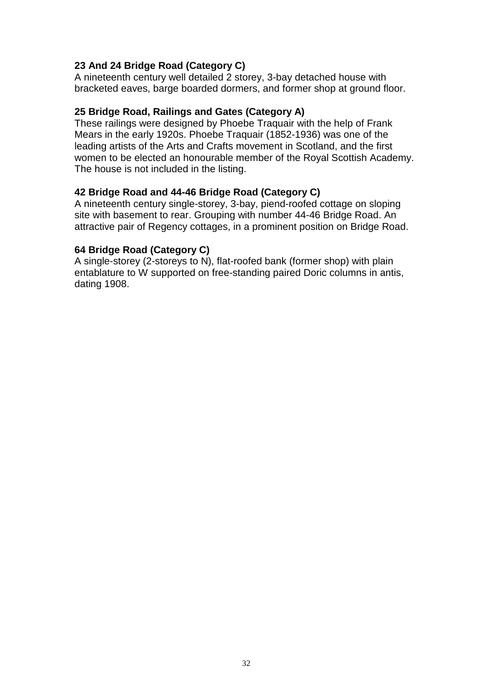# **23 And 24 Bridge Road (Category C)**

A nineteenth century well detailed 2 storey, 3-bay detached house with bracketed eaves, barge boarded dormers, and former shop at ground floor.

#### **25 Bridge Road, Railings and Gates (Category A)**

These railings were designed by Phoebe Traquair with the help of Frank Mears in the early 1920s. Phoebe Traquair (1852-1936) was one of the leading artists of the Arts and Crafts movement in Scotland, and the first women to be elected an honourable member of the Royal Scottish Academy. The house is not included in the listing.

#### **42 Bridge Road and 44-46 Bridge Road (Category C)**

A nineteenth century single-storey, 3-bay, piend-roofed cottage on sloping site with basement to rear. Grouping with number 44-46 Bridge Road. An attractive pair of Regency cottages, in a prominent position on Bridge Road.

#### **64 Bridge Road (Category C)**

A single-storey (2-storeys to N), flat-roofed bank (former shop) with plain entablature to W supported on free-standing paired Doric columns in antis, dating 1908.